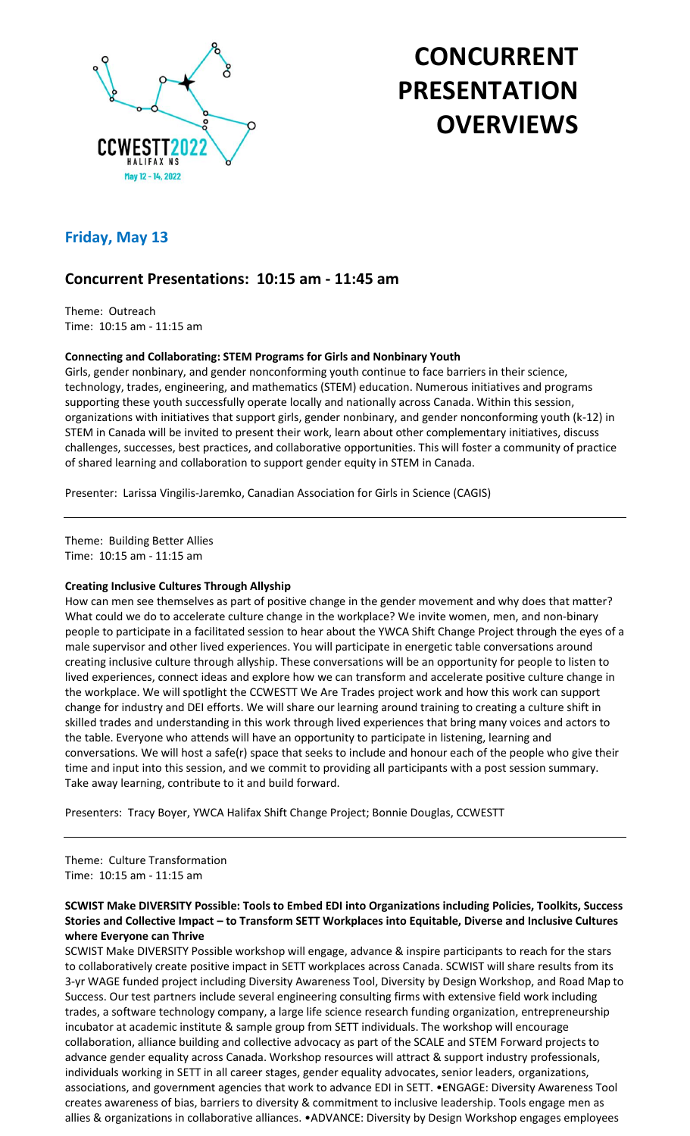

# **CONCURRENT PRESENTATION OVERVIEWS**

# **Friday, May 13**

# **Concurrent Presentations: 10:15 am - 11:45 am**

Theme: Outreach Time: 10:15 am - 11:15 am

### **Connecting and Collaborating: STEM Programs for Girls and Nonbinary Youth**

Girls, gender nonbinary, and gender nonconforming youth continue to face barriers in their science, technology, trades, engineering, and mathematics (STEM) education. Numerous initiatives and programs supporting these youth successfully operate locally and nationally across Canada. Within this session, organizations with initiatives that support girls, gender nonbinary, and gender nonconforming youth (k-12) in STEM in Canada will be invited to present their work, learn about other complementary initiatives, discuss challenges, successes, best practices, and collaborative opportunities. This will foster a community of practice of shared learning and collaboration to support gender equity in STEM in Canada.

Presenter: Larissa Vingilis-Jaremko, Canadian Association for Girls in Science (CAGIS)

Theme: Building Better Allies Time: 10:15 am - 11:15 am

### **Creating Inclusive Cultures Through Allyship**

How can men see themselves as part of positive change in the gender movement and why does that matter? What could we do to accelerate culture change in the workplace? We invite women, men, and non-binary people to participate in a facilitated session to hear about the YWCA Shift Change Project through the eyes of a male supervisor and other lived experiences. You will participate in energetic table conversations around creating inclusive culture through allyship. These conversations will be an opportunity for people to listen to lived experiences, connect ideas and explore how we can transform and accelerate positive culture change in the workplace. We will spotlight the CCWESTT We Are Trades project work and how this work can support change for industry and DEI efforts. We will share our learning around training to creating a culture shift in skilled trades and understanding in this work through lived experiences that bring many voices and actors to the table. Everyone who attends will have an opportunity to participate in listening, learning and conversations. We will host a safe(r) space that seeks to include and honour each of the people who give their time and input into this session, and we commit to providing all participants with a post session summary. Take away learning, contribute to it and build forward.

Presenters: Tracy Boyer, YWCA Halifax Shift Change Project; Bonnie Douglas, CCWESTT

Theme: Culture Transformation Time: 10:15 am - 11:15 am

### **SCWIST Make DIVERSITY Possible: Tools to Embed EDI into Organizations including Policies, Toolkits, Success Stories and Collective Impact – to Transform SETT Workplaces into Equitable, Diverse and Inclusive Cultures where Everyone can Thrive**

SCWIST Make DIVERSITY Possible workshop will engage, advance & inspire participants to reach for the stars to collaboratively create positive impact in SETT workplaces across Canada. SCWIST will share results from its 3-yr WAGE funded project including Diversity Awareness Tool, Diversity by Design Workshop, and Road Map to Success. Our test partners include several engineering consulting firms with extensive field work including trades, a software technology company, a large life science research funding organization, entrepreneurship incubator at academic institute & sample group from SETT individuals. The workshop will encourage collaboration, alliance building and collective advocacy as part of the SCALE and STEM Forward projects to advance gender equality across Canada. Workshop resources will attract & support industry professionals, individuals working in SETT in all career stages, gender equality advocates, senior leaders, organizations, associations, and government agencies that work to advance EDI in SETT. •ENGAGE: Diversity Awareness Tool creates awareness of bias, barriers to diversity & commitment to inclusive leadership. Tools engage men as allies & organizations in collaborative alliances. •ADVANCE: Diversity by Design Workshop engages employees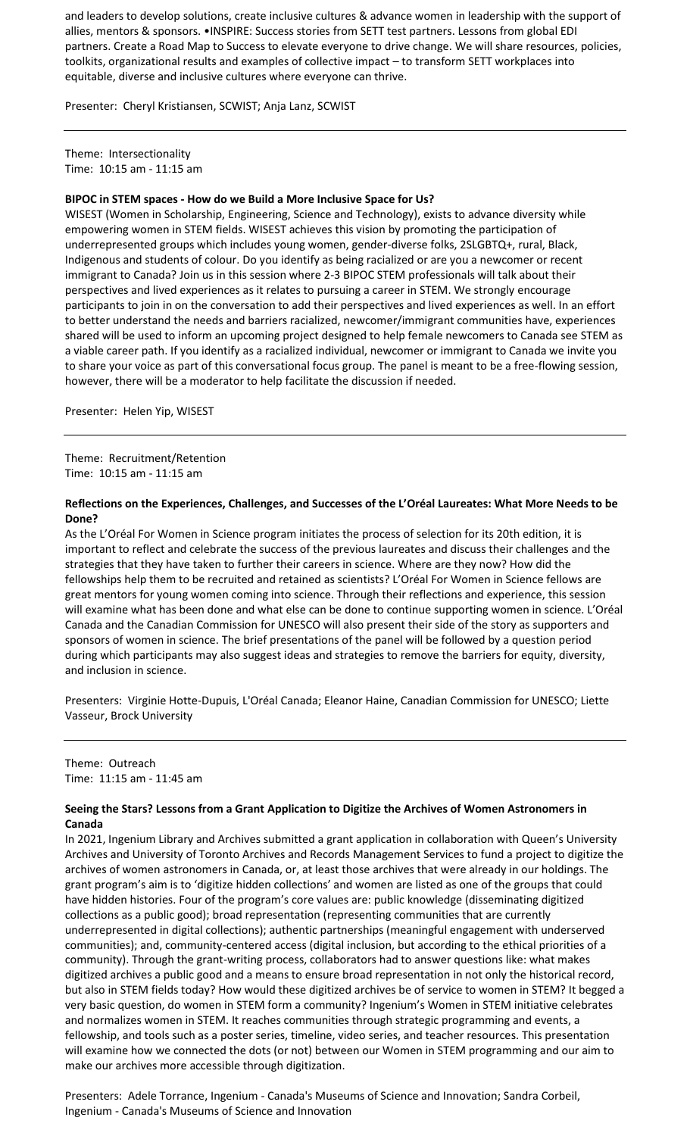and leaders to develop solutions, create inclusive cultures & advance women in leadership with the support of allies, mentors & sponsors. •INSPIRE: Success stories from SETT test partners. Lessons from global EDI partners. Create a Road Map to Success to elevate everyone to drive change. We will share resources, policies, toolkits, organizational results and examples of collective impact – to transform SETT workplaces into equitable, diverse and inclusive cultures where everyone can thrive.

Presenter: Cheryl Kristiansen, SCWIST; Anja Lanz, SCWIST

Theme: Intersectionality Time: 10:15 am - 11:15 am

### **BIPOC in STEM spaces - How do we Build a More Inclusive Space for Us?**

WISEST (Women in Scholarship, Engineering, Science and Technology), exists to advance diversity while empowering women in STEM fields. WISEST achieves this vision by promoting the participation of underrepresented groups which includes young women, gender-diverse folks, 2SLGBTQ+, rural, Black, Indigenous and students of colour. Do you identify as being racialized or are you a newcomer or recent immigrant to Canada? Join us in this session where 2-3 BIPOC STEM professionals will talk about their perspectives and lived experiences as it relates to pursuing a career in STEM. We strongly encourage participants to join in on the conversation to add their perspectives and lived experiences as well. In an effort to better understand the needs and barriers racialized, newcomer/immigrant communities have, experiences shared will be used to inform an upcoming project designed to help female newcomers to Canada see STEM as a viable career path. If you identify as a racialized individual, newcomer or immigrant to Canada we invite you to share your voice as part of this conversational focus group. The panel is meant to be a free-flowing session, however, there will be a moderator to help facilitate the discussion if needed.

Presenter: Helen Yip, WISEST

Theme: Recruitment/Retention Time: 10:15 am - 11:15 am

### **Reflections on the Experiences, Challenges, and Successes of the L'Oréal Laureates: What More Needs to be Done?**

As the L'Oréal For Women in Science program initiates the process of selection for its 20th edition, it is important to reflect and celebrate the success of the previous laureates and discuss their challenges and the strategies that they have taken to further their careers in science. Where are they now? How did the fellowships help them to be recruited and retained as scientists? L'Oréal For Women in Science fellows are great mentors for young women coming into science. Through their reflections and experience, this session will examine what has been done and what else can be done to continue supporting women in science. L'Oréal Canada and the Canadian Commission for UNESCO will also present their side of the story as supporters and sponsors of women in science. The brief presentations of the panel will be followed by a question period during which participants may also suggest ideas and strategies to remove the barriers for equity, diversity, and inclusion in science.

Presenters: Virginie Hotte-Dupuis, L'Oréal Canada; Eleanor Haine, Canadian Commission for UNESCO; Liette Vasseur, Brock University

Theme: Outreach Time: 11:15 am - 11:45 am

### **Seeing the Stars? Lessons from a Grant Application to Digitize the Archives of Women Astronomers in Canada**

In 2021, Ingenium Library and Archives submitted a grant application in collaboration with Queen's University Archives and University of Toronto Archives and Records Management Services to fund a project to digitize the archives of women astronomers in Canada, or, at least those archives that were already in our holdings. The grant program's aim is to 'digitize hidden collections' and women are listed as one of the groups that could have hidden histories. Four of the program's core values are: public knowledge (disseminating digitized collections as a public good); broad representation (representing communities that are currently underrepresented in digital collections); authentic partnerships (meaningful engagement with underserved communities); and, community-centered access (digital inclusion, but according to the ethical priorities of a community). Through the grant-writing process, collaborators had to answer questions like: what makes digitized archives a public good and a means to ensure broad representation in not only the historical record, but also in STEM fields today? How would these digitized archives be of service to women in STEM? It begged a very basic question, do women in STEM form a community? Ingenium's Women in STEM initiative celebrates and normalizes women in STEM. It reaches communities through strategic programming and events, a fellowship, and tools such as a poster series, timeline, video series, and teacher resources. This presentation will examine how we connected the dots (or not) between our Women in STEM programming and our aim to make our archives more accessible through digitization.

Presenters: Adele Torrance, Ingenium - Canada's Museums of Science and Innovation; Sandra Corbeil, Ingenium - Canada's Museums of Science and Innovation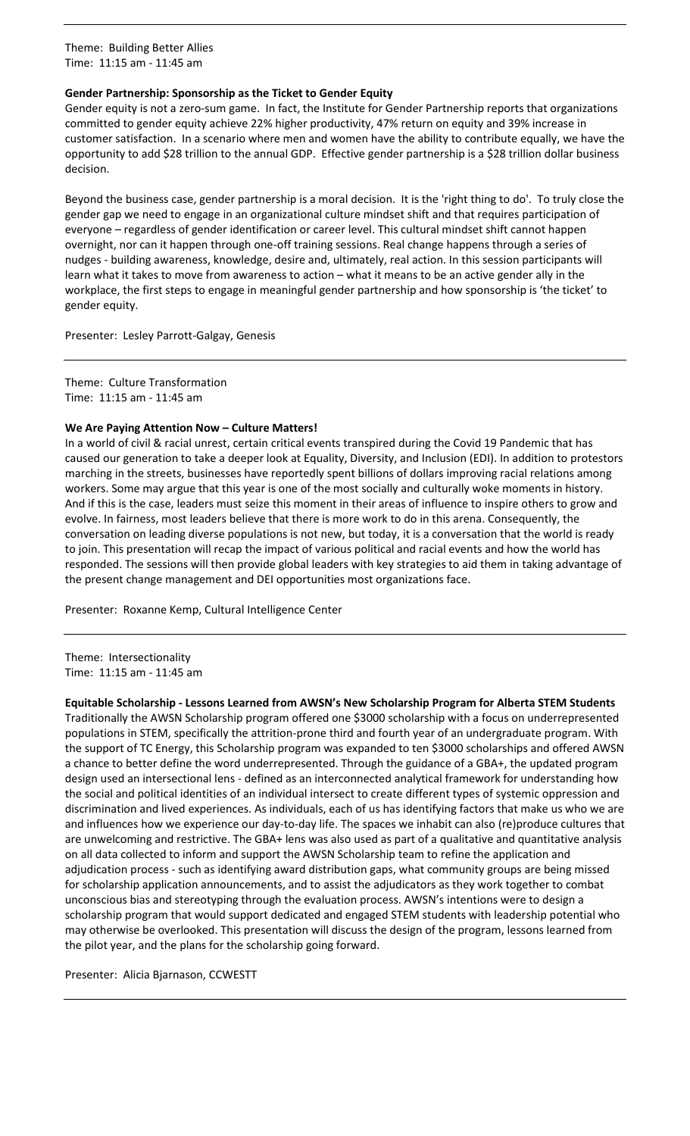Theme: Building Better Allies Time: 11:15 am - 11:45 am

### **Gender Partnership: Sponsorship as the Ticket to Gender Equity**

Gender equity is not a zero-sum game. In fact, the Institute for Gender Partnership reports that organizations committed to gender equity achieve 22% higher productivity, 47% return on equity and 39% increase in customer satisfaction. In a scenario where men and women have the ability to contribute equally, we have the opportunity to add \$28 trillion to the annual GDP. Effective gender partnership is a \$28 trillion dollar business decision.

Beyond the business case, gender partnership is a moral decision. It is the 'right thing to do'. To truly close the gender gap we need to engage in an organizational culture mindset shift and that requires participation of everyone – regardless of gender identification or career level. This cultural mindset shift cannot happen overnight, nor can it happen through one-off training sessions. Real change happens through a series of nudges - building awareness, knowledge, desire and, ultimately, real action. In this session participants will learn what it takes to move from awareness to action – what it means to be an active gender ally in the workplace, the first steps to engage in meaningful gender partnership and how sponsorship is 'the ticket' to gender equity.

Presenter: Lesley Parrott-Galgay, Genesis

Theme: Culture Transformation Time: 11:15 am - 11:45 am

### **We Are Paying Attention Now – Culture Matters!**

In a world of civil & racial unrest, certain critical events transpired during the Covid 19 Pandemic that has caused our generation to take a deeper look at Equality, Diversity, and Inclusion (EDI). In addition to protestors marching in the streets, businesses have reportedly spent billions of dollars improving racial relations among workers. Some may argue that this year is one of the most socially and culturally woke moments in history. And if this is the case, leaders must seize this moment in their areas of influence to inspire others to grow and evolve. In fairness, most leaders believe that there is more work to do in this arena. Consequently, the conversation on leading diverse populations is not new, but today, it is a conversation that the world is ready to join. This presentation will recap the impact of various political and racial events and how the world has responded. The sessions will then provide global leaders with key strategies to aid them in taking advantage of the present change management and DEI opportunities most organizations face.

Presenter: Roxanne Kemp, Cultural Intelligence Center

Theme: Intersectionality Time: 11:15 am - 11:45 am

### **Equitable Scholarship - Lessons Learned from AWSN's New Scholarship Program for Alberta STEM Students**

Traditionally the AWSN Scholarship program offered one \$3000 scholarship with a focus on underrepresented populations in STEM, specifically the attrition-prone third and fourth year of an undergraduate program. With the support of TC Energy, this Scholarship program was expanded to ten \$3000 scholarships and offered AWSN a chance to better define the word underrepresented. Through the guidance of a GBA+, the updated program design used an intersectional lens - defined as an interconnected analytical framework for understanding how the social and political identities of an individual intersect to create different types of systemic oppression and discrimination and lived experiences. As individuals, each of us has identifying factors that make us who we are and influences how we experience our day-to-day life. The spaces we inhabit can also (re)produce cultures that are unwelcoming and restrictive. The GBA+ lens was also used as part of a qualitative and quantitative analysis on all data collected to inform and support the AWSN Scholarship team to refine the application and adjudication process - such as identifying award distribution gaps, what community groups are being missed for scholarship application announcements, and to assist the adjudicators as they work together to combat unconscious bias and stereotyping through the evaluation process. AWSN's intentions were to design a scholarship program that would support dedicated and engaged STEM students with leadership potential who may otherwise be overlooked. This presentation will discuss the design of the program, lessons learned from the pilot year, and the plans for the scholarship going forward.

Presenter: Alicia Bjarnason, CCWESTT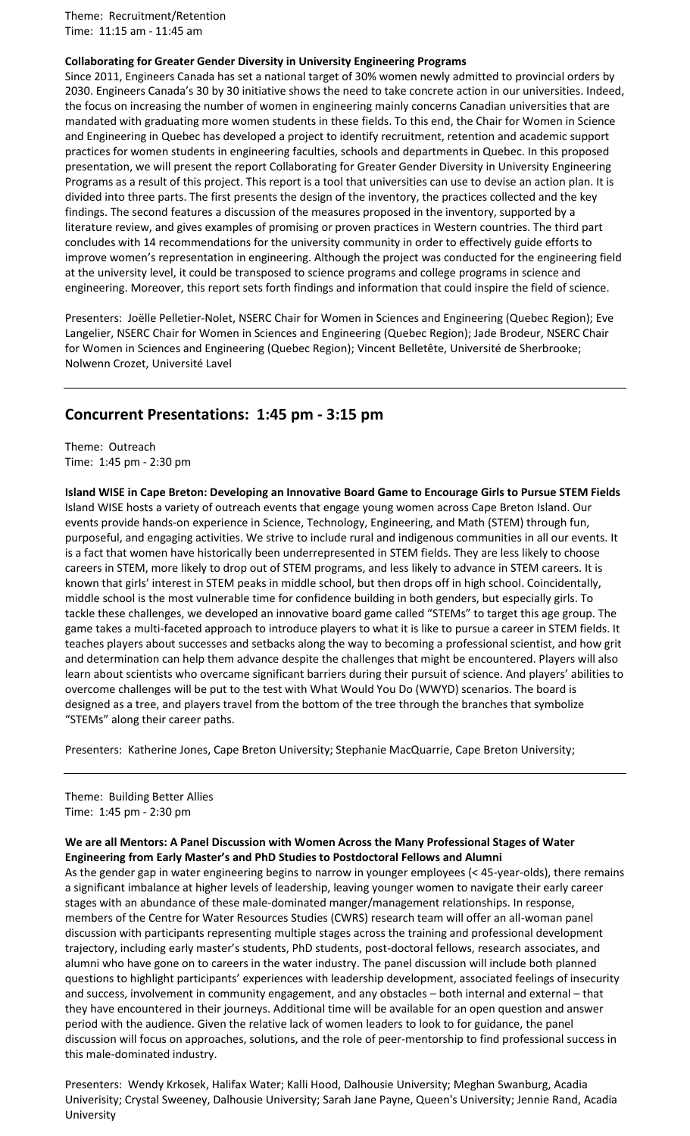Theme: Recruitment/Retention Time: 11:15 am - 11:45 am

### **Collaborating for Greater Gender Diversity in University Engineering Programs**

Since 2011, Engineers Canada has set a national target of 30% women newly admitted to provincial orders by 2030. Engineers Canada's 30 by 30 initiative shows the need to take concrete action in our universities. Indeed, the focus on increasing the number of women in engineering mainly concerns Canadian universities that are mandated with graduating more women students in these fields. To this end, the Chair for Women in Science and Engineering in Quebec has developed a project to identify recruitment, retention and academic support practices for women students in engineering faculties, schools and departments in Quebec. In this proposed presentation, we will present the report Collaborating for Greater Gender Diversity in University Engineering Programs as a result of this project. This report is a tool that universities can use to devise an action plan. It is divided into three parts. The first presents the design of the inventory, the practices collected and the key findings. The second features a discussion of the measures proposed in the inventory, supported by a literature review, and gives examples of promising or proven practices in Western countries. The third part concludes with 14 recommendations for the university community in order to effectively guide efforts to improve women's representation in engineering. Although the project was conducted for the engineering field at the university level, it could be transposed to science programs and college programs in science and engineering. Moreover, this report sets forth findings and information that could inspire the field of science.

Presenters: Joëlle Pelletier-Nolet, NSERC Chair for Women in Sciences and Engineering (Quebec Region); Eve Langelier, NSERC Chair for Women in Sciences and Engineering (Quebec Region); Jade Brodeur, NSERC Chair for Women in Sciences and Engineering (Quebec Region); Vincent Belletête, Université de Sherbrooke; Nolwenn Crozet, Université Lavel

### **Concurrent Presentations: 1:45 pm - 3:15 pm**

Theme: Outreach Time: 1:45 pm - 2:30 pm

**Island WISE in Cape Breton: Developing an Innovative Board Game to Encourage Girls to Pursue STEM Fields** Island WISE hosts a variety of outreach events that engage young women across Cape Breton Island. Our events provide hands-on experience in Science, Technology, Engineering, and Math (STEM) through fun, purposeful, and engaging activities. We strive to include rural and indigenous communities in all our events. It is a fact that women have historically been underrepresented in STEM fields. They are less likely to choose careers in STEM, more likely to drop out of STEM programs, and less likely to advance in STEM careers. It is known that girls' interest in STEM peaks in middle school, but then drops off in high school. Coincidentally, middle school is the most vulnerable time for confidence building in both genders, but especially girls. To tackle these challenges, we developed an innovative board game called "STEMs" to target this age group. The game takes a multi-faceted approach to introduce players to what it is like to pursue a career in STEM fields. It teaches players about successes and setbacks along the way to becoming a professional scientist, and how grit and determination can help them advance despite the challenges that might be encountered. Players will also learn about scientists who overcame significant barriers during their pursuit of science. And players' abilities to overcome challenges will be put to the test with What Would You Do (WWYD) scenarios. The board is designed as a tree, and players travel from the bottom of the tree through the branches that symbolize "STEMs" along their career paths.

Presenters: Katherine Jones, Cape Breton University; Stephanie MacQuarrie, Cape Breton University;

Theme: Building Better Allies Time: 1:45 pm - 2:30 pm

### **We are all Mentors: A Panel Discussion with Women Across the Many Professional Stages of Water Engineering from Early Master's and PhD Studies to Postdoctoral Fellows and Alumni**

As the gender gap in water engineering begins to narrow in younger employees (< 45-year-olds), there remains a significant imbalance at higher levels of leadership, leaving younger women to navigate their early career stages with an abundance of these male-dominated manger/management relationships. In response, members of the Centre for Water Resources Studies (CWRS) research team will offer an all-woman panel discussion with participants representing multiple stages across the training and professional development trajectory, including early master's students, PhD students, post-doctoral fellows, research associates, and alumni who have gone on to careers in the water industry. The panel discussion will include both planned questions to highlight participants' experiences with leadership development, associated feelings of insecurity and success, involvement in community engagement, and any obstacles – both internal and external – that they have encountered in their journeys. Additional time will be available for an open question and answer period with the audience. Given the relative lack of women leaders to look to for guidance, the panel discussion will focus on approaches, solutions, and the role of peer-mentorship to find professional success in this male-dominated industry.

Presenters: Wendy Krkosek, Halifax Water; Kalli Hood, Dalhousie University; Meghan Swanburg, Acadia Univerisity; Crystal Sweeney, Dalhousie University; Sarah Jane Payne, Queen's University; Jennie Rand, Acadia University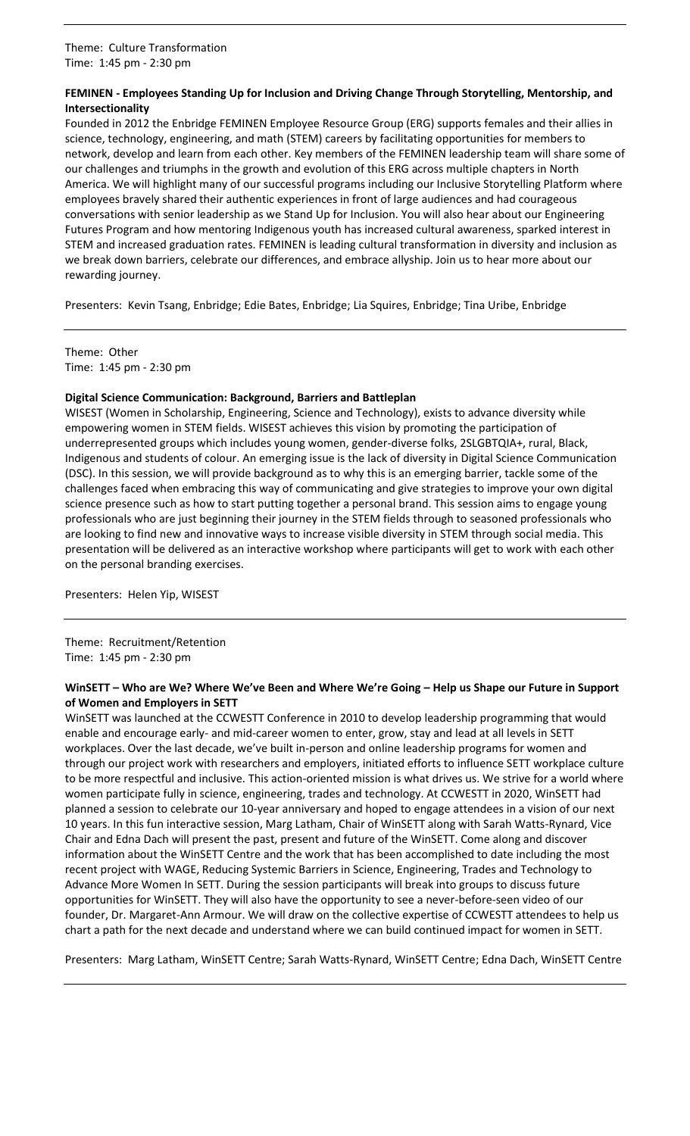### **FEMINEN - Employees Standing Up for Inclusion and Driving Change Through Storytelling, Mentorship, and Intersectionality**

Founded in 2012 the Enbridge FEMINEN Employee Resource Group (ERG) supports females and their allies in science, technology, engineering, and math (STEM) careers by facilitating opportunities for members to network, develop and learn from each other. Key members of the FEMINEN leadership team will share some of our challenges and triumphs in the growth and evolution of this ERG across multiple chapters in North America. We will highlight many of our successful programs including our Inclusive Storytelling Platform where employees bravely shared their authentic experiences in front of large audiences and had courageous conversations with senior leadership as we Stand Up for Inclusion. You will also hear about our Engineering Futures Program and how mentoring Indigenous youth has increased cultural awareness, sparked interest in STEM and increased graduation rates. FEMINEN is leading cultural transformation in diversity and inclusion as we break down barriers, celebrate our differences, and embrace allyship. Join us to hear more about our rewarding journey.

Presenters: Kevin Tsang, Enbridge; Edie Bates, Enbridge; Lia Squires, Enbridge; Tina Uribe, Enbridge

Theme: Other Time: 1:45 pm - 2:30 pm

### **Digital Science Communication: Background, Barriers and Battleplan**

WISEST (Women in Scholarship, Engineering, Science and Technology), exists to advance diversity while empowering women in STEM fields. WISEST achieves this vision by promoting the participation of underrepresented groups which includes young women, gender-diverse folks, 2SLGBTQIA+, rural, Black, Indigenous and students of colour. An emerging issue is the lack of diversity in Digital Science Communication (DSC). In this session, we will provide background as to why this is an emerging barrier, tackle some of the challenges faced when embracing this way of communicating and give strategies to improve your own digital science presence such as how to start putting together a personal brand. This session aims to engage young professionals who are just beginning their journey in the STEM fields through to seasoned professionals who are looking to find new and innovative ways to increase visible diversity in STEM through social media. This presentation will be delivered as an interactive workshop where participants will get to work with each other on the personal branding exercises.

Presenters: Helen Yip, WISEST

Theme: Recruitment/Retention Time: 1:45 pm - 2:30 pm

### **WinSETT – Who are We? Where We've Been and Where We're Going – Help us Shape our Future in Support of Women and Employers in SETT**

WinSETT was launched at the CCWESTT Conference in 2010 to develop leadership programming that would enable and encourage early- and mid-career women to enter, grow, stay and lead at all levels in SETT workplaces. Over the last decade, we've built in-person and online leadership programs for women and through our project work with researchers and employers, initiated efforts to influence SETT workplace culture to be more respectful and inclusive. This action-oriented mission is what drives us. We strive for a world where women participate fully in science, engineering, trades and technology. At CCWESTT in 2020, WinSETT had planned a session to celebrate our 10-year anniversary and hoped to engage attendees in a vision of our next 10 years. In this fun interactive session, Marg Latham, Chair of WinSETT along with Sarah Watts-Rynard, Vice Chair and Edna Dach will present the past, present and future of the WinSETT. Come along and discover information about the WinSETT Centre and the work that has been accomplished to date including the most recent project with WAGE, Reducing Systemic Barriers in Science, Engineering, Trades and Technology to Advance More Women In SETT. During the session participants will break into groups to discuss future opportunities for WinSETT. They will also have the opportunity to see a never-before-seen video of our founder, Dr. Margaret-Ann Armour. We will draw on the collective expertise of CCWESTT attendees to help us chart a path for the next decade and understand where we can build continued impact for women in SETT.

Presenters: Marg Latham, WinSETT Centre; Sarah Watts-Rynard, WinSETT Centre; Edna Dach, WinSETT Centre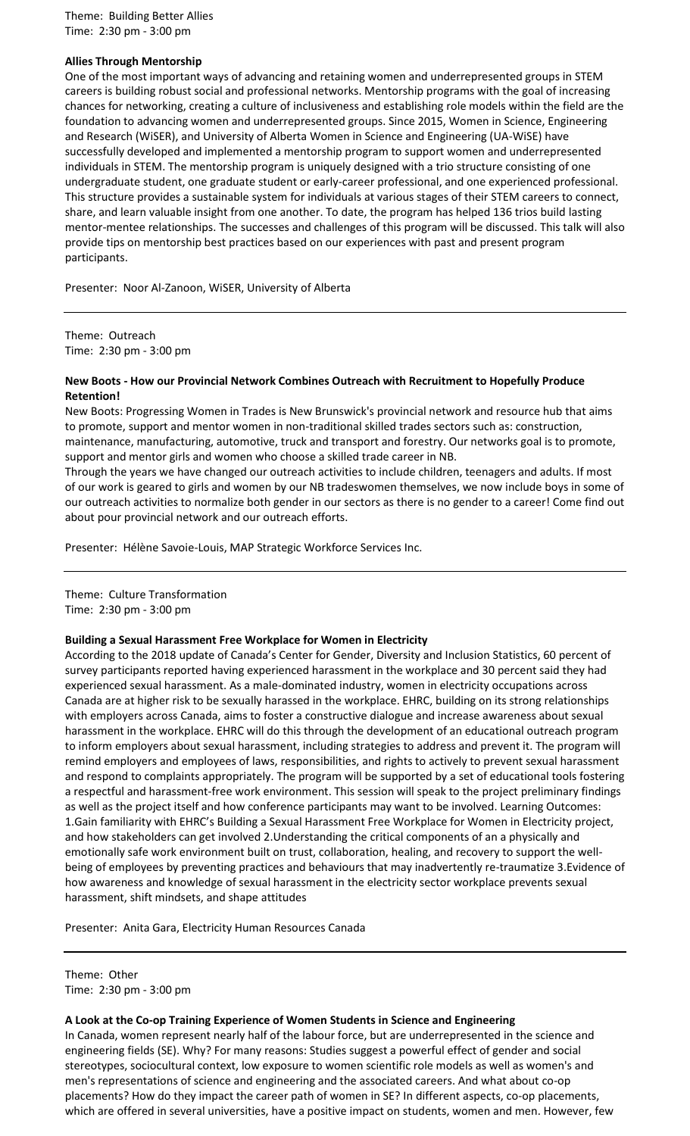Theme: Building Better Allies Time: 2:30 pm - 3:00 pm

### **Allies Through Mentorship**

One of the most important ways of advancing and retaining women and underrepresented groups in STEM careers is building robust social and professional networks. Mentorship programs with the goal of increasing chances for networking, creating a culture of inclusiveness and establishing role models within the field are the foundation to advancing women and underrepresented groups. Since 2015, Women in Science, Engineering and Research (WiSER), and University of Alberta Women in Science and Engineering (UA-WiSE) have successfully developed and implemented a mentorship program to support women and underrepresented individuals in STEM. The mentorship program is uniquely designed with a trio structure consisting of one undergraduate student, one graduate student or early-career professional, and one experienced professional. This structure provides a sustainable system for individuals at various stages of their STEM careers to connect, share, and learn valuable insight from one another. To date, the program has helped 136 trios build lasting mentor-mentee relationships. The successes and challenges of this program will be discussed. This talk will also provide tips on mentorship best practices based on our experiences with past and present program participants.

Presenter: Noor Al-Zanoon, WiSER, University of Alberta

Theme: Outreach Time: 2:30 pm - 3:00 pm

### **New Boots - How our Provincial Network Combines Outreach with Recruitment to Hopefully Produce Retention!**

New Boots: Progressing Women in Trades is New Brunswick's provincial network and resource hub that aims to promote, support and mentor women in non-traditional skilled trades sectors such as: construction, maintenance, manufacturing, automotive, truck and transport and forestry. Our networks goal is to promote, support and mentor girls and women who choose a skilled trade career in NB.

Through the years we have changed our outreach activities to include children, teenagers and adults. If most of our work is geared to girls and women by our NB tradeswomen themselves, we now include boys in some of our outreach activities to normalize both gender in our sectors as there is no gender to a career! Come find out about pour provincial network and our outreach efforts.

Presenter: Hélène Savoie-Louis, MAP Strategic Workforce Services Inc.

Theme: Culture Transformation Time: 2:30 pm - 3:00 pm

#### **Building a Sexual Harassment Free Workplace for Women in Electricity**

According to the 2018 update of Canada's Center for Gender, Diversity and Inclusion Statistics, 60 percent of survey participants reported having experienced harassment in the workplace and 30 percent said they had experienced sexual harassment. As a male-dominated industry, women in electricity occupations across Canada are at higher risk to be sexually harassed in the workplace. EHRC, building on its strong relationships with employers across Canada, aims to foster a constructive dialogue and increase awareness about sexual harassment in the workplace. EHRC will do this through the development of an educational outreach program to inform employers about sexual harassment, including strategies to address and prevent it. The program will remind employers and employees of laws, responsibilities, and rights to actively to prevent sexual harassment and respond to complaints appropriately. The program will be supported by a set of educational tools fostering a respectful and harassment-free work environment. This session will speak to the project preliminary findings as well as the project itself and how conference participants may want to be involved. Learning Outcomes: 1.Gain familiarity with EHRC's Building a Sexual Harassment Free Workplace for Women in Electricity project, and how stakeholders can get involved 2.Understanding the critical components of an a physically and emotionally safe work environment built on trust, collaboration, healing, and recovery to support the wellbeing of employees by preventing practices and behaviours that may inadvertently re-traumatize 3.Evidence of how awareness and knowledge of sexual harassment in the electricity sector workplace prevents sexual harassment, shift mindsets, and shape attitudes

Presenter: Anita Gara, Electricity Human Resources Canada

Theme: Other Time: 2:30 pm - 3:00 pm

### **A Look at the Co-op Training Experience of Women Students in Science and Engineering**

In Canada, women represent nearly half of the labour force, but are underrepresented in the science and engineering fields (SE). Why? For many reasons: Studies suggest a powerful effect of gender and social stereotypes, sociocultural context, low exposure to women scientific role models as well as women's and men's representations of science and engineering and the associated careers. And what about co-op placements? How do they impact the career path of women in SE? In different aspects, co-op placements, which are offered in several universities, have a positive impact on students, women and men. However, few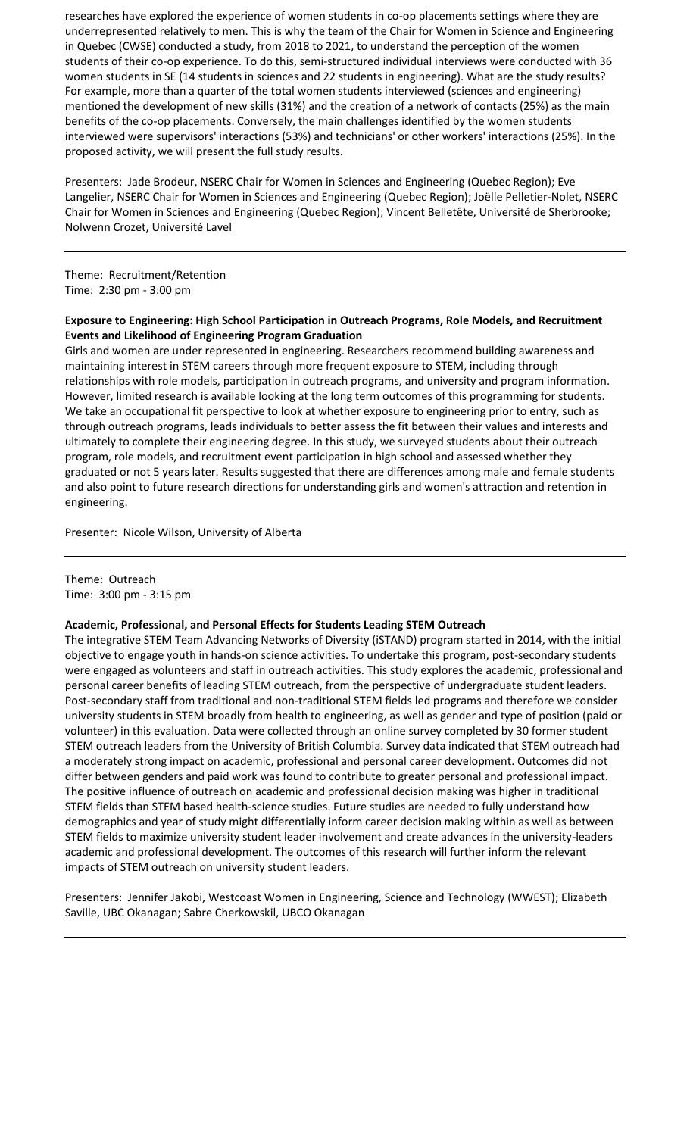researches have explored the experience of women students in co-op placements settings where they are underrepresented relatively to men. This is why the team of the Chair for Women in Science and Engineering in Quebec (CWSE) conducted a study, from 2018 to 2021, to understand the perception of the women students of their co-op experience. To do this, semi-structured individual interviews were conducted with 36 women students in SE (14 students in sciences and 22 students in engineering). What are the study results? For example, more than a quarter of the total women students interviewed (sciences and engineering) mentioned the development of new skills (31%) and the creation of a network of contacts (25%) as the main benefits of the co-op placements. Conversely, the main challenges identified by the women students interviewed were supervisors' interactions (53%) and technicians' or other workers' interactions (25%). In the proposed activity, we will present the full study results.

Presenters: Jade Brodeur, NSERC Chair for Women in Sciences and Engineering (Quebec Region); Eve Langelier, NSERC Chair for Women in Sciences and Engineering (Quebec Region); Joëlle Pelletier-Nolet, NSERC Chair for Women in Sciences and Engineering (Quebec Region); Vincent Belletête, Université de Sherbrooke; Nolwenn Crozet, Université Lavel

Theme: Recruitment/Retention Time: 2:30 pm - 3:00 pm

### **Exposure to Engineering: High School Participation in Outreach Programs, Role Models, and Recruitment Events and Likelihood of Engineering Program Graduation**

Girls and women are under represented in engineering. Researchers recommend building awareness and maintaining interest in STEM careers through more frequent exposure to STEM, including through relationships with role models, participation in outreach programs, and university and program information. However, limited research is available looking at the long term outcomes of this programming for students. We take an occupational fit perspective to look at whether exposure to engineering prior to entry, such as through outreach programs, leads individuals to better assess the fit between their values and interests and ultimately to complete their engineering degree. In this study, we surveyed students about their outreach program, role models, and recruitment event participation in high school and assessed whether they graduated or not 5 years later. Results suggested that there are differences among male and female students and also point to future research directions for understanding girls and women's attraction and retention in engineering.

Presenter: Nicole Wilson, University of Alberta

Theme: Outreach Time: 3:00 pm - 3:15 pm

### **Academic, Professional, and Personal Effects for Students Leading STEM Outreach**

The integrative STEM Team Advancing Networks of Diversity (iSTAND) program started in 2014, with the initial objective to engage youth in hands-on science activities. To undertake this program, post-secondary students were engaged as volunteers and staff in outreach activities. This study explores the academic, professional and personal career benefits of leading STEM outreach, from the perspective of undergraduate student leaders. Post-secondary staff from traditional and non-traditional STEM fields led programs and therefore we consider university students in STEM broadly from health to engineering, as well as gender and type of position (paid or volunteer) in this evaluation. Data were collected through an online survey completed by 30 former student STEM outreach leaders from the University of British Columbia. Survey data indicated that STEM outreach had a moderately strong impact on academic, professional and personal career development. Outcomes did not differ between genders and paid work was found to contribute to greater personal and professional impact. The positive influence of outreach on academic and professional decision making was higher in traditional STEM fields than STEM based health-science studies. Future studies are needed to fully understand how demographics and year of study might differentially inform career decision making within as well as between STEM fields to maximize university student leader involvement and create advances in the university-leaders academic and professional development. The outcomes of this research will further inform the relevant impacts of STEM outreach on university student leaders.

Presenters: Jennifer Jakobi, Westcoast Women in Engineering, Science and Technology (WWEST); Elizabeth Saville, UBC Okanagan; Sabre Cherkowskil, UBCO Okanagan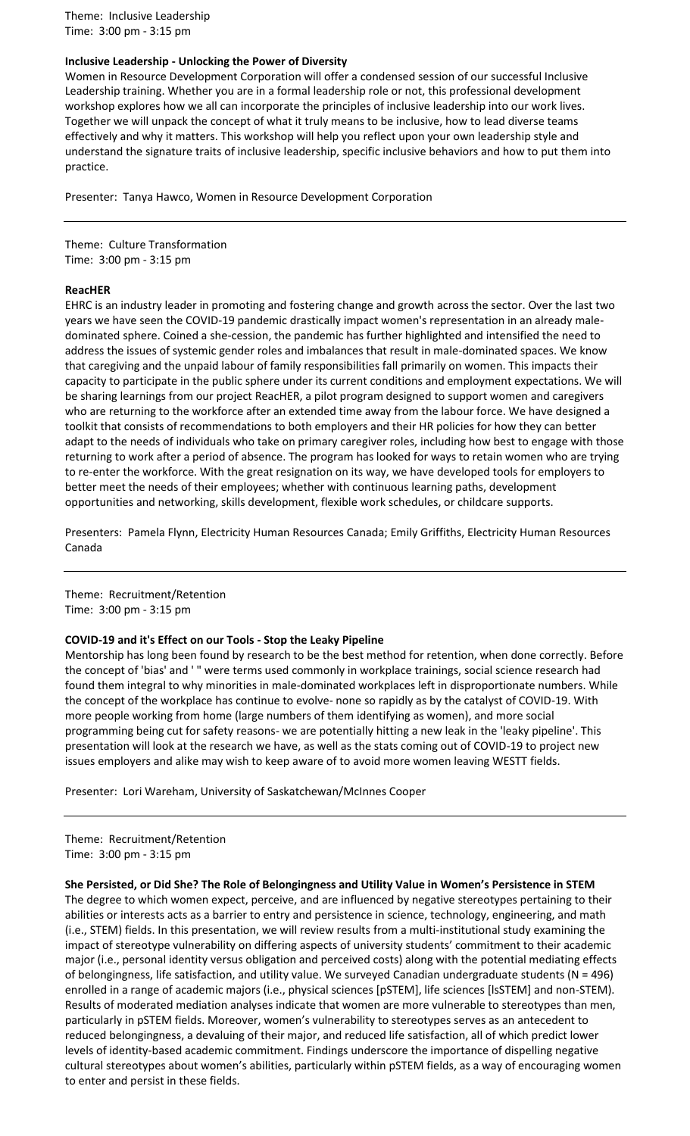Theme: Inclusive Leadership Time: 3:00 pm - 3:15 pm

### **Inclusive Leadership - Unlocking the Power of Diversity**

Women in Resource Development Corporation will offer a condensed session of our successful Inclusive Leadership training. Whether you are in a formal leadership role or not, this professional development workshop explores how we all can incorporate the principles of inclusive leadership into our work lives. Together we will unpack the concept of what it truly means to be inclusive, how to lead diverse teams effectively and why it matters. This workshop will help you reflect upon your own leadership style and understand the signature traits of inclusive leadership, specific inclusive behaviors and how to put them into practice.

Presenter: Tanya Hawco, Women in Resource Development Corporation

Theme: Culture Transformation Time: 3:00 pm - 3:15 pm

### **ReacHER**

EHRC is an industry leader in promoting and fostering change and growth across the sector. Over the last two years we have seen the COVID-19 pandemic drastically impact women's representation in an already maledominated sphere. Coined a she-cession, the pandemic has further highlighted and intensified the need to address the issues of systemic gender roles and imbalances that result in male-dominated spaces. We know that caregiving and the unpaid labour of family responsibilities fall primarily on women. This impacts their capacity to participate in the public sphere under its current conditions and employment expectations. We will be sharing learnings from our project ReacHER, a pilot program designed to support women and caregivers who are returning to the workforce after an extended time away from the labour force. We have designed a toolkit that consists of recommendations to both employers and their HR policies for how they can better adapt to the needs of individuals who take on primary caregiver roles, including how best to engage with those returning to work after a period of absence. The program has looked for ways to retain women who are trying to re-enter the workforce. With the great resignation on its way, we have developed tools for employers to better meet the needs of their employees; whether with continuous learning paths, development opportunities and networking, skills development, flexible work schedules, or childcare supports.

Presenters: Pamela Flynn, Electricity Human Resources Canada; Emily Griffiths, Electricity Human Resources Canada

Theme: Recruitment/Retention Time: 3:00 pm - 3:15 pm

#### **COVID-19 and it's Effect on our Tools - Stop the Leaky Pipeline**

Mentorship has long been found by research to be the best method for retention, when done correctly. Before the concept of 'bias' and ' " were terms used commonly in workplace trainings, social science research had found them integral to why minorities in male-dominated workplaces left in disproportionate numbers. While the concept of the workplace has continue to evolve- none so rapidly as by the catalyst of COVID-19. With more people working from home (large numbers of them identifying as women), and more social programming being cut for safety reasons- we are potentially hitting a new leak in the 'leaky pipeline'. This presentation will look at the research we have, as well as the stats coming out of COVID-19 to project new issues employers and alike may wish to keep aware of to avoid more women leaving WESTT fields.

Presenter: Lori Wareham, University of Saskatchewan/McInnes Cooper

Theme: Recruitment/Retention Time: 3:00 pm - 3:15 pm

### **She Persisted, or Did She? The Role of Belongingness and Utility Value in Women's Persistence in STEM**

The degree to which women expect, perceive, and are influenced by negative stereotypes pertaining to their abilities or interests acts as a barrier to entry and persistence in science, technology, engineering, and math (i.e., STEM) fields. In this presentation, we will review results from a multi-institutional study examining the impact of stereotype vulnerability on differing aspects of university students' commitment to their academic major (i.e., personal identity versus obligation and perceived costs) along with the potential mediating effects of belongingness, life satisfaction, and utility value. We surveyed Canadian undergraduate students (N = 496) enrolled in a range of academic majors (i.e., physical sciences [pSTEM], life sciences [lsSTEM] and non-STEM). Results of moderated mediation analyses indicate that women are more vulnerable to stereotypes than men, particularly in pSTEM fields. Moreover, women's vulnerability to stereotypes serves as an antecedent to reduced belongingness, a devaluing of their major, and reduced life satisfaction, all of which predict lower levels of identity-based academic commitment. Findings underscore the importance of dispelling negative cultural stereotypes about women's abilities, particularly within pSTEM fields, as a way of encouraging women to enter and persist in these fields.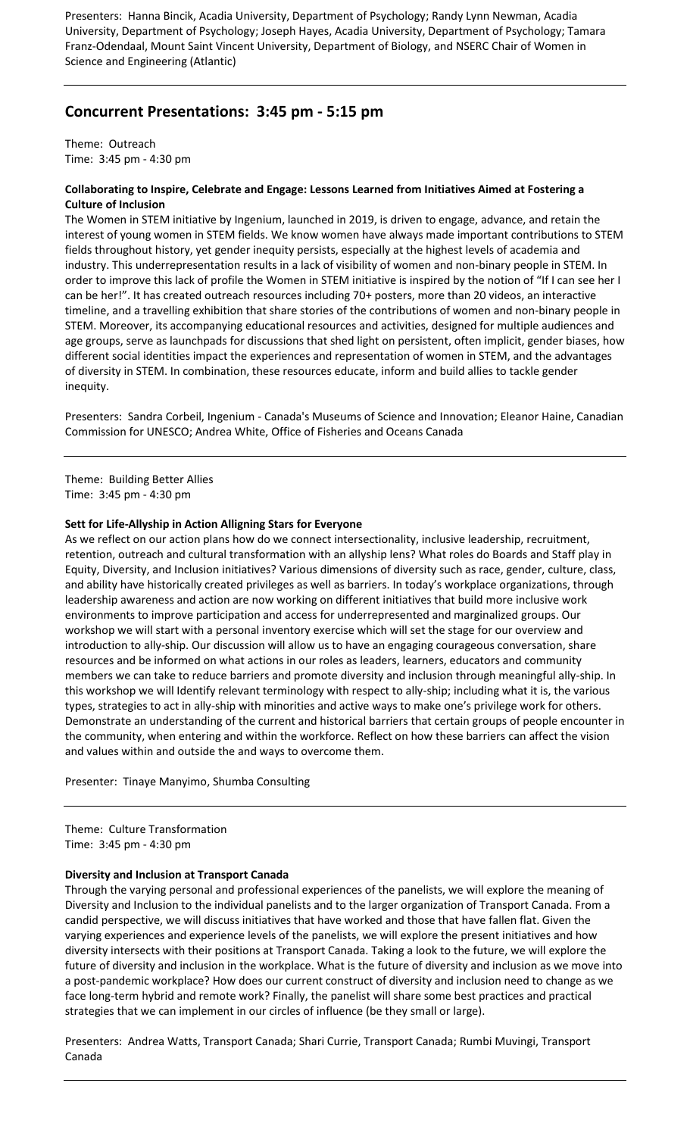Presenters: Hanna Bincik, Acadia University, Department of Psychology; Randy Lynn Newman, Acadia University, Department of Psychology; Joseph Hayes, Acadia University, Department of Psychology; Tamara Franz-Odendaal, Mount Saint Vincent University, Department of Biology, and NSERC Chair of Women in Science and Engineering (Atlantic)

# **Concurrent Presentations: 3:45 pm - 5:15 pm**

Theme: Outreach Time: 3:45 pm - 4:30 pm

### **Collaborating to Inspire, Celebrate and Engage: Lessons Learned from Initiatives Aimed at Fostering a Culture of Inclusion**

The Women in STEM initiative by Ingenium, launched in 2019, is driven to engage, advance, and retain the interest of young women in STEM fields. We know women have always made important contributions to STEM fields throughout history, yet gender inequity persists, especially at the highest levels of academia and industry. This underrepresentation results in a lack of visibility of women and non-binary people in STEM. In order to improve this lack of profile the Women in STEM initiative is inspired by the notion of "If I can see her I can be her!". It has created outreach resources including 70+ posters, more than 20 videos, an interactive timeline, and a travelling exhibition that share stories of the contributions of women and non-binary people in STEM. Moreover, its accompanying educational resources and activities, designed for multiple audiences and age groups, serve as launchpads for discussions that shed light on persistent, often implicit, gender biases, how different social identities impact the experiences and representation of women in STEM, and the advantages of diversity in STEM. In combination, these resources educate, inform and build allies to tackle gender inequity.

Presenters: Sandra Corbeil, Ingenium - Canada's Museums of Science and Innovation; Eleanor Haine, Canadian Commission for UNESCO; Andrea White, Office of Fisheries and Oceans Canada

Theme: Building Better Allies Time: 3:45 pm - 4:30 pm

### **Sett for Life-Allyship in Action Alligning Stars for Everyone**

As we reflect on our action plans how do we connect intersectionality, inclusive leadership, recruitment, retention, outreach and cultural transformation with an allyship lens? What roles do Boards and Staff play in Equity, Diversity, and Inclusion initiatives? Various dimensions of diversity such as race, gender, culture, class, and ability have historically created privileges as well as barriers. In today's workplace organizations, through leadership awareness and action are now working on different initiatives that build more inclusive work environments to improve participation and access for underrepresented and marginalized groups. Our workshop we will start with a personal inventory exercise which will set the stage for our overview and introduction to ally-ship. Our discussion will allow us to have an engaging courageous conversation, share resources and be informed on what actions in our roles as leaders, learners, educators and community members we can take to reduce barriers and promote diversity and inclusion through meaningful ally-ship. In this workshop we will Identify relevant terminology with respect to ally-ship; including what it is, the various types, strategies to act in ally-ship with minorities and active ways to make one's privilege work for others. Demonstrate an understanding of the current and historical barriers that certain groups of people encounter in the community, when entering and within the workforce. Reflect on how these barriers can affect the vision and values within and outside the and ways to overcome them.

Presenter: Tinaye Manyimo, Shumba Consulting

Theme: Culture Transformation Time: 3:45 pm - 4:30 pm

### **Diversity and Inclusion at Transport Canada**

Through the varying personal and professional experiences of the panelists, we will explore the meaning of Diversity and Inclusion to the individual panelists and to the larger organization of Transport Canada. From a candid perspective, we will discuss initiatives that have worked and those that have fallen flat. Given the varying experiences and experience levels of the panelists, we will explore the present initiatives and how diversity intersects with their positions at Transport Canada. Taking a look to the future, we will explore the future of diversity and inclusion in the workplace. What is the future of diversity and inclusion as we move into a post-pandemic workplace? How does our current construct of diversity and inclusion need to change as we face long-term hybrid and remote work? Finally, the panelist will share some best practices and practical strategies that we can implement in our circles of influence (be they small or large).

Presenters: Andrea Watts, Transport Canada; Shari Currie, Transport Canada; Rumbi Muvingi, Transport Canada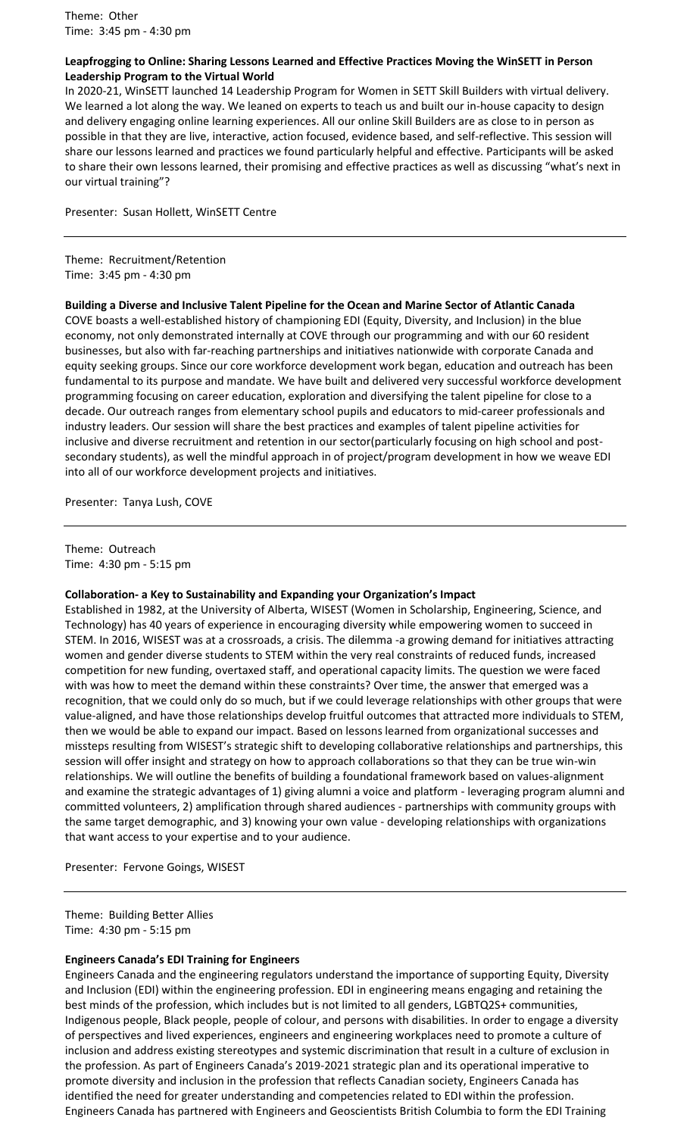Theme: Other Time: 3:45 pm - 4:30 pm

### **Leapfrogging to Online: Sharing Lessons Learned and Effective Practices Moving the WinSETT in Person Leadership Program to the Virtual World**

In 2020-21, WinSETT launched 14 Leadership Program for Women in SETT Skill Builders with virtual delivery. We learned a lot along the way. We leaned on experts to teach us and built our in-house capacity to design and delivery engaging online learning experiences. All our online Skill Builders are as close to in person as possible in that they are live, interactive, action focused, evidence based, and self-reflective. This session will share our lessons learned and practices we found particularly helpful and effective. Participants will be asked to share their own lessons learned, their promising and effective practices as well as discussing "what's next in our virtual training"?

### Presenter: Susan Hollett, WinSETT Centre

Theme: Recruitment/Retention Time: 3:45 pm - 4:30 pm

### **Building a Diverse and Inclusive Talent Pipeline for the Ocean and Marine Sector of Atlantic Canada**

COVE boasts a well-established history of championing EDI (Equity, Diversity, and Inclusion) in the blue economy, not only demonstrated internally at COVE through our programming and with our 60 resident businesses, but also with far-reaching partnerships and initiatives nationwide with corporate Canada and equity seeking groups. Since our core workforce development work began, education and outreach has been fundamental to its purpose and mandate. We have built and delivered very successful workforce development programming focusing on career education, exploration and diversifying the talent pipeline for close to a decade. Our outreach ranges from elementary school pupils and educators to mid-career professionals and industry leaders. Our session will share the best practices and examples of talent pipeline activities for inclusive and diverse recruitment and retention in our sector(particularly focusing on high school and postsecondary students), as well the mindful approach in of project/program development in how we weave EDI into all of our workforce development projects and initiatives.

Presenter: Tanya Lush, COVE

Theme: Outreach Time: 4:30 pm - 5:15 pm

### **Collaboration- a Key to Sustainability and Expanding your Organization's Impact**

Established in 1982, at the University of Alberta, WISEST (Women in Scholarship, Engineering, Science, and Technology) has 40 years of experience in encouraging diversity while empowering women to succeed in STEM. In 2016, WISEST was at a crossroads, a crisis. The dilemma -a growing demand for initiatives attracting women and gender diverse students to STEM within the very real constraints of reduced funds, increased competition for new funding, overtaxed staff, and operational capacity limits. The question we were faced with was how to meet the demand within these constraints? Over time, the answer that emerged was a recognition, that we could only do so much, but if we could leverage relationships with other groups that were value-aligned, and have those relationships develop fruitful outcomes that attracted more individuals to STEM, then we would be able to expand our impact. Based on lessons learned from organizational successes and missteps resulting from WISEST's strategic shift to developing collaborative relationships and partnerships, this session will offer insight and strategy on how to approach collaborations so that they can be true win-win relationships. We will outline the benefits of building a foundational framework based on values-alignment and examine the strategic advantages of 1) giving alumni a voice and platform - leveraging program alumni and committed volunteers, 2) amplification through shared audiences - partnerships with community groups with the same target demographic, and 3) knowing your own value - developing relationships with organizations that want access to your expertise and to your audience.

Presenter: Fervone Goings, WISEST

Theme: Building Better Allies Time: 4:30 pm - 5:15 pm

### **Engineers Canada's EDI Training for Engineers**

Engineers Canada and the engineering regulators understand the importance of supporting Equity, Diversity and Inclusion (EDI) within the engineering profession. EDI in engineering means engaging and retaining the best minds of the profession, which includes but is not limited to all genders, LGBTQ2S+ communities, Indigenous people, Black people, people of colour, and persons with disabilities. In order to engage a diversity of perspectives and lived experiences, engineers and engineering workplaces need to promote a culture of inclusion and address existing stereotypes and systemic discrimination that result in a culture of exclusion in the profession. As part of Engineers Canada's 2019-2021 strategic plan and its operational imperative to promote diversity and inclusion in the profession that reflects Canadian society, Engineers Canada has identified the need for greater understanding and competencies related to EDI within the profession. Engineers Canada has partnered with Engineers and Geoscientists British Columbia to form the EDI Training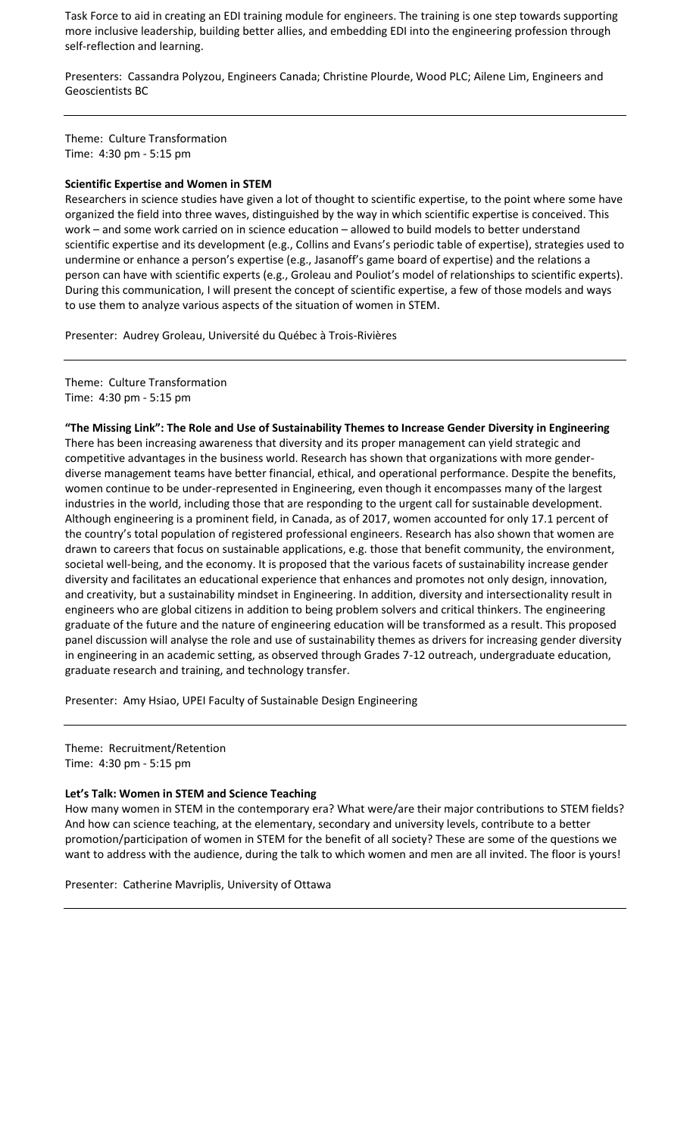Task Force to aid in creating an EDI training module for engineers. The training is one step towards supporting more inclusive leadership, building better allies, and embedding EDI into the engineering profession through self-reflection and learning.

Presenters: Cassandra Polyzou, Engineers Canada; Christine Plourde, Wood PLC; Ailene Lim, Engineers and Geoscientists BC

Theme: Culture Transformation Time: 4:30 pm - 5:15 pm

### **Scientific Expertise and Women in STEM**

Researchers in science studies have given a lot of thought to scientific expertise, to the point where some have organized the field into three waves, distinguished by the way in which scientific expertise is conceived. This work – and some work carried on in science education – allowed to build models to better understand scientific expertise and its development (e.g., Collins and Evans's periodic table of expertise), strategies used to undermine or enhance a person's expertise (e.g., Jasanoff's game board of expertise) and the relations a person can have with scientific experts (e.g., Groleau and Pouliot's model of relationships to scientific experts). During this communication, I will present the concept of scientific expertise, a few of those models and ways to use them to analyze various aspects of the situation of women in STEM.

Presenter: Audrey Groleau, Université du Québec à Trois-Rivières

Theme: Culture Transformation Time: 4:30 pm - 5:15 pm

**"The Missing Link": The Role and Use of Sustainability Themes to Increase Gender Diversity in Engineering** There has been increasing awareness that diversity and its proper management can yield strategic and competitive advantages in the business world. Research has shown that organizations with more genderdiverse management teams have better financial, ethical, and operational performance. Despite the benefits, women continue to be under-represented in Engineering, even though it encompasses many of the largest industries in the world, including those that are responding to the urgent call for sustainable development. Although engineering is a prominent field, in Canada, as of 2017, women accounted for only 17.1 percent of the country's total population of registered professional engineers. Research has also shown that women are drawn to careers that focus on sustainable applications, e.g. those that benefit community, the environment, societal well-being, and the economy. It is proposed that the various facets of sustainability increase gender diversity and facilitates an educational experience that enhances and promotes not only design, innovation, and creativity, but a sustainability mindset in Engineering. In addition, diversity and intersectionality result in engineers who are global citizens in addition to being problem solvers and critical thinkers. The engineering graduate of the future and the nature of engineering education will be transformed as a result. This proposed panel discussion will analyse the role and use of sustainability themes as drivers for increasing gender diversity in engineering in an academic setting, as observed through Grades 7-12 outreach, undergraduate education, graduate research and training, and technology transfer.

Presenter: Amy Hsiao, UPEI Faculty of Sustainable Design Engineering

Theme: Recruitment/Retention Time: 4:30 pm - 5:15 pm

#### **Let's Talk: Women in STEM and Science Teaching**

How many women in STEM in the contemporary era? What were/are their major contributions to STEM fields? And how can science teaching, at the elementary, secondary and university levels, contribute to a better promotion/participation of women in STEM for the benefit of all society? These are some of the questions we want to address with the audience, during the talk to which women and men are all invited. The floor is yours!

Presenter: Catherine Mavriplis, University of Ottawa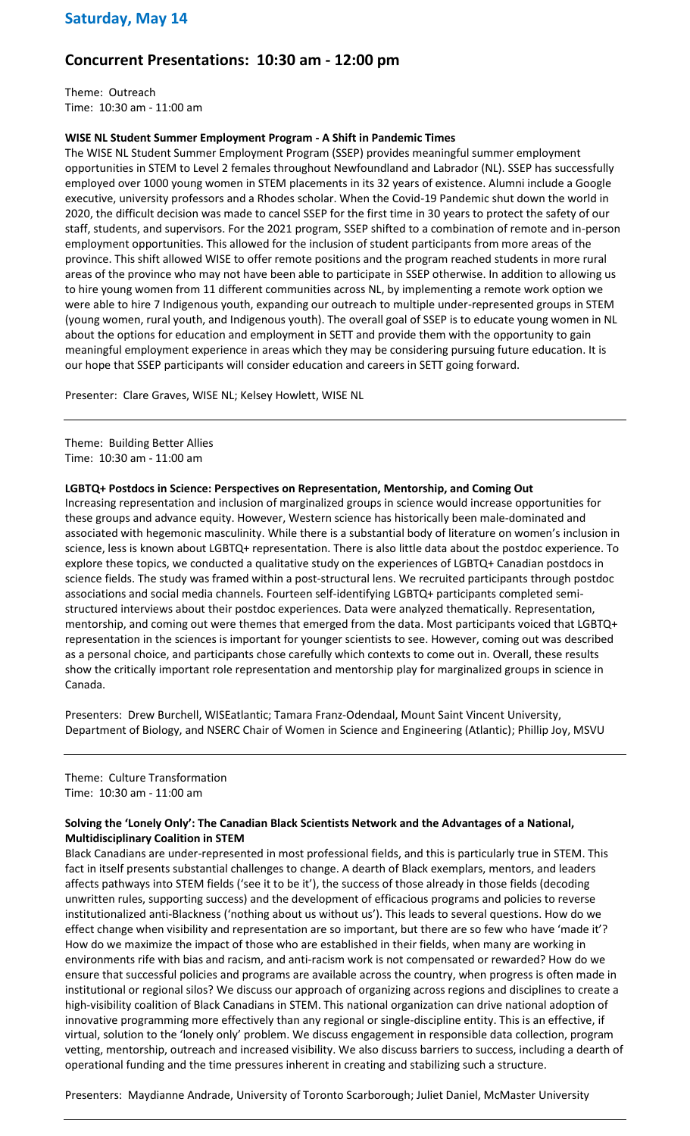# **Concurrent Presentations: 10:30 am - 12:00 pm**

Theme: Outreach Time: 10:30 am - 11:00 am

### **WISE NL Student Summer Employment Program - A Shift in Pandemic Times**

The WISE NL Student Summer Employment Program (SSEP) provides meaningful summer employment opportunities in STEM to Level 2 females throughout Newfoundland and Labrador (NL). SSEP has successfully employed over 1000 young women in STEM placements in its 32 years of existence. Alumni include a Google executive, university professors and a Rhodes scholar. When the Covid-19 Pandemic shut down the world in 2020, the difficult decision was made to cancel SSEP for the first time in 30 years to protect the safety of our staff, students, and supervisors. For the 2021 program, SSEP shifted to a combination of remote and in-person employment opportunities. This allowed for the inclusion of student participants from more areas of the province. This shift allowed WISE to offer remote positions and the program reached students in more rural areas of the province who may not have been able to participate in SSEP otherwise. In addition to allowing us to hire young women from 11 different communities across NL, by implementing a remote work option we were able to hire 7 Indigenous youth, expanding our outreach to multiple under-represented groups in STEM (young women, rural youth, and Indigenous youth). The overall goal of SSEP is to educate young women in NL about the options for education and employment in SETT and provide them with the opportunity to gain meaningful employment experience in areas which they may be considering pursuing future education. It is our hope that SSEP participants will consider education and careers in SETT going forward.

Presenter: Clare Graves, WISE NL; Kelsey Howlett, WISE NL

Theme: Building Better Allies Time: 10:30 am - 11:00 am

### **LGBTQ+ Postdocs in Science: Perspectives on Representation, Mentorship, and Coming Out**

Increasing representation and inclusion of marginalized groups in science would increase opportunities for these groups and advance equity. However, Western science has historically been male-dominated and associated with hegemonic masculinity. While there is a substantial body of literature on women's inclusion in science, less is known about LGBTQ+ representation. There is also little data about the postdoc experience. To explore these topics, we conducted a qualitative study on the experiences of LGBTQ+ Canadian postdocs in science fields. The study was framed within a post-structural lens. We recruited participants through postdoc associations and social media channels. Fourteen self-identifying LGBTQ+ participants completed semistructured interviews about their postdoc experiences. Data were analyzed thematically. Representation, mentorship, and coming out were themes that emerged from the data. Most participants voiced that LGBTQ+ representation in the sciences is important for younger scientists to see. However, coming out was described as a personal choice, and participants chose carefully which contexts to come out in. Overall, these results show the critically important role representation and mentorship play for marginalized groups in science in Canada.

Presenters: Drew Burchell, WISEatlantic; Tamara Franz-Odendaal, Mount Saint Vincent University, Department of Biology, and NSERC Chair of Women in Science and Engineering (Atlantic); Phillip Joy, MSVU

Theme: Culture Transformation Time: 10:30 am - 11:00 am

### **Solving the 'Lonely Only': The Canadian Black Scientists Network and the Advantages of a National, Multidisciplinary Coalition in STEM**

Black Canadians are under-represented in most professional fields, and this is particularly true in STEM. This fact in itself presents substantial challenges to change. A dearth of Black exemplars, mentors, and leaders affects pathways into STEM fields ('see it to be it'), the success of those already in those fields (decoding unwritten rules, supporting success) and the development of efficacious programs and policies to reverse institutionalized anti-Blackness ('nothing about us without us'). This leads to several questions. How do we effect change when visibility and representation are so important, but there are so few who have 'made it'? How do we maximize the impact of those who are established in their fields, when many are working in environments rife with bias and racism, and anti-racism work is not compensated or rewarded? How do we ensure that successful policies and programs are available across the country, when progress is often made in institutional or regional silos? We discuss our approach of organizing across regions and disciplines to create a high-visibility coalition of Black Canadians in STEM. This national organization can drive national adoption of innovative programming more effectively than any regional or single-discipline entity. This is an effective, if virtual, solution to the 'lonely only' problem. We discuss engagement in responsible data collection, program vetting, mentorship, outreach and increased visibility. We also discuss barriers to success, including a dearth of operational funding and the time pressures inherent in creating and stabilizing such a structure.

Presenters: Maydianne Andrade, University of Toronto Scarborough; Juliet Daniel, McMaster University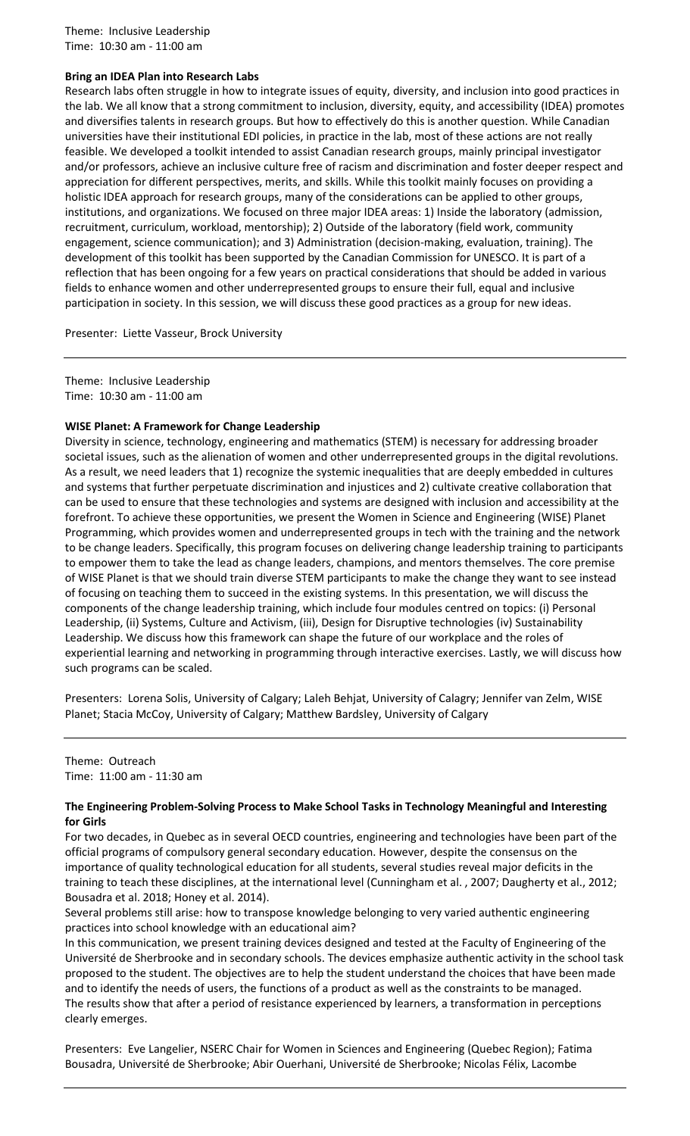Theme: Inclusive Leadership Time: 10:30 am - 11:00 am

### **Bring an IDEA Plan into Research Labs**

Research labs often struggle in how to integrate issues of equity, diversity, and inclusion into good practices in the lab. We all know that a strong commitment to inclusion, diversity, equity, and accessibility (IDEA) promotes and diversifies talents in research groups. But how to effectively do this is another question. While Canadian universities have their institutional EDI policies, in practice in the lab, most of these actions are not really feasible. We developed a toolkit intended to assist Canadian research groups, mainly principal investigator and/or professors, achieve an inclusive culture free of racism and discrimination and foster deeper respect and appreciation for different perspectives, merits, and skills. While this toolkit mainly focuses on providing a holistic IDEA approach for research groups, many of the considerations can be applied to other groups, institutions, and organizations. We focused on three major IDEA areas: 1) Inside the laboratory (admission, recruitment, curriculum, workload, mentorship); 2) Outside of the laboratory (field work, community engagement, science communication); and 3) Administration (decision-making, evaluation, training). The development of this toolkit has been supported by the Canadian Commission for UNESCO. It is part of a reflection that has been ongoing for a few years on practical considerations that should be added in various fields to enhance women and other underrepresented groups to ensure their full, equal and inclusive participation in society. In this session, we will discuss these good practices as a group for new ideas.

Presenter: Liette Vasseur, Brock University

Theme: Inclusive Leadership Time: 10:30 am - 11:00 am

### **WISE Planet: A Framework for Change Leadership**

Diversity in science, technology, engineering and mathematics (STEM) is necessary for addressing broader societal issues, such as the alienation of women and other underrepresented groups in the digital revolutions. As a result, we need leaders that 1) recognize the systemic inequalities that are deeply embedded in cultures and systems that further perpetuate discrimination and injustices and 2) cultivate creative collaboration that can be used to ensure that these technologies and systems are designed with inclusion and accessibility at the forefront. To achieve these opportunities, we present the Women in Science and Engineering (WISE) Planet Programming, which provides women and underrepresented groups in tech with the training and the network to be change leaders. Specifically, this program focuses on delivering change leadership training to participants to empower them to take the lead as change leaders, champions, and mentors themselves. The core premise of WISE Planet is that we should train diverse STEM participants to make the change they want to see instead of focusing on teaching them to succeed in the existing systems. In this presentation, we will discuss the components of the change leadership training, which include four modules centred on topics: (i) Personal Leadership, (ii) Systems, Culture and Activism, (iii), Design for Disruptive technologies (iv) Sustainability Leadership. We discuss how this framework can shape the future of our workplace and the roles of experiential learning and networking in programming through interactive exercises. Lastly, we will discuss how such programs can be scaled.

Presenters: Lorena Solis, University of Calgary; Laleh Behjat, University of Calagry; Jennifer van Zelm, WISE Planet; Stacia McCoy, University of Calgary; Matthew Bardsley, University of Calgary

### Theme: Outreach Time: 11:00 am - 11:30 am

### **The Engineering Problem-Solving Process to Make School Tasks in Technology Meaningful and Interesting for Girls**

For two decades, in Quebec as in several OECD countries, engineering and technologies have been part of the official programs of compulsory general secondary education. However, despite the consensus on the importance of quality technological education for all students, several studies reveal major deficits in the training to teach these disciplines, at the international level (Cunningham et al. , 2007; Daugherty et al., 2012; Bousadra et al. 2018; Honey et al. 2014).

Several problems still arise: how to transpose knowledge belonging to very varied authentic engineering practices into school knowledge with an educational aim?

In this communication, we present training devices designed and tested at the Faculty of Engineering of the Université de Sherbrooke and in secondary schools. The devices emphasize authentic activity in the school task proposed to the student. The objectives are to help the student understand the choices that have been made and to identify the needs of users, the functions of a product as well as the constraints to be managed. The results show that after a period of resistance experienced by learners, a transformation in perceptions clearly emerges.

Presenters: Eve Langelier, NSERC Chair for Women in Sciences and Engineering (Quebec Region); Fatima Bousadra, Université de Sherbrooke; Abir Ouerhani, Université de Sherbrooke; Nicolas Félix, Lacombe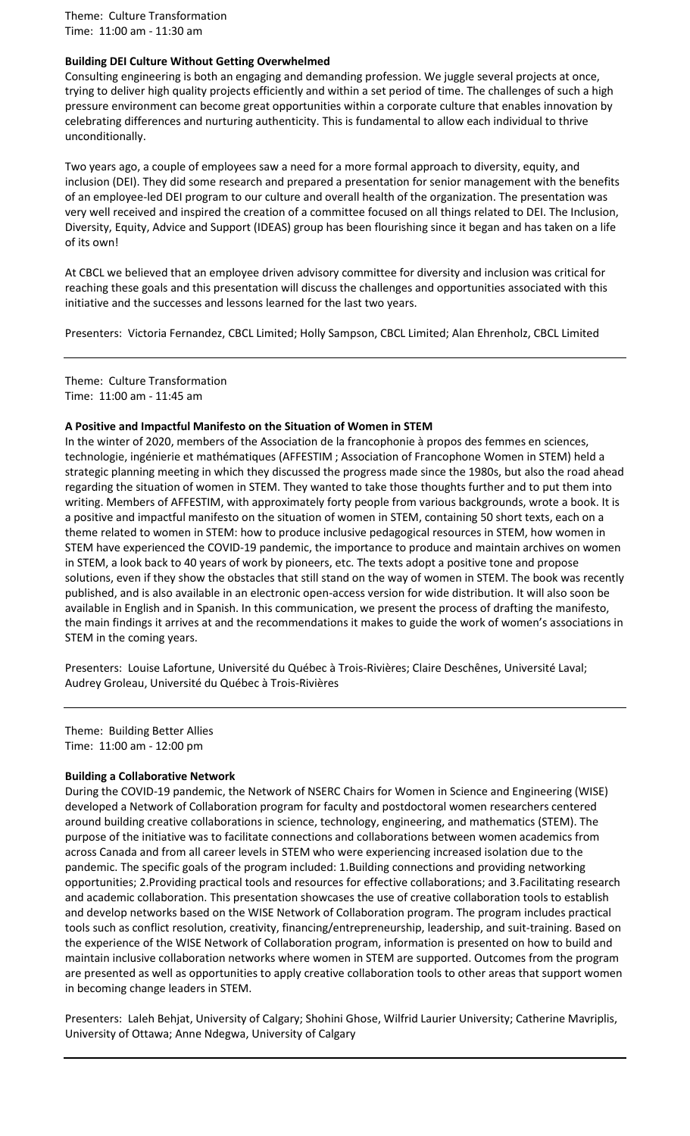Theme: Culture Transformation Time: 11:00 am - 11:30 am

### **Building DEI Culture Without Getting Overwhelmed**

Consulting engineering is both an engaging and demanding profession. We juggle several projects at once, trying to deliver high quality projects efficiently and within a set period of time. The challenges of such a high pressure environment can become great opportunities within a corporate culture that enables innovation by celebrating differences and nurturing authenticity. This is fundamental to allow each individual to thrive unconditionally.

Two years ago, a couple of employees saw a need for a more formal approach to diversity, equity, and inclusion (DEI). They did some research and prepared a presentation for senior management with the benefits of an employee-led DEI program to our culture and overall health of the organization. The presentation was very well received and inspired the creation of a committee focused on all things related to DEI. The Inclusion, Diversity, Equity, Advice and Support (IDEAS) group has been flourishing since it began and has taken on a life of its own!

At CBCL we believed that an employee driven advisory committee for diversity and inclusion was critical for reaching these goals and this presentation will discuss the challenges and opportunities associated with this initiative and the successes and lessons learned for the last two years.

Presenters: Victoria Fernandez, CBCL Limited; Holly Sampson, CBCL Limited; Alan Ehrenholz, CBCL Limited

Theme: Culture Transformation Time: 11:00 am - 11:45 am

#### **A Positive and Impactful Manifesto on the Situation of Women in STEM**

In the winter of 2020, members of the Association de la francophonie à propos des femmes en sciences, technologie, ingénierie et mathématiques (AFFESTIM ; Association of Francophone Women in STEM) held a strategic planning meeting in which they discussed the progress made since the 1980s, but also the road ahead regarding the situation of women in STEM. They wanted to take those thoughts further and to put them into writing. Members of AFFESTIM, with approximately forty people from various backgrounds, wrote a book. It is a positive and impactful manifesto on the situation of women in STEM, containing 50 short texts, each on a theme related to women in STEM: how to produce inclusive pedagogical resources in STEM, how women in STEM have experienced the COVID-19 pandemic, the importance to produce and maintain archives on women in STEM, a look back to 40 years of work by pioneers, etc. The texts adopt a positive tone and propose solutions, even if they show the obstacles that still stand on the way of women in STEM. The book was recently published, and is also available in an electronic open-access version for wide distribution. It will also soon be available in English and in Spanish. In this communication, we present the process of drafting the manifesto, the main findings it arrives at and the recommendations it makes to guide the work of women's associations in STEM in the coming years.

Presenters: Louise Lafortune, Université du Québec à Trois-Rivières; Claire Deschênes, Université Laval; Audrey Groleau, Université du Québec à Trois-Rivières

Theme: Building Better Allies Time: 11:00 am - 12:00 pm

#### **Building a Collaborative Network**

During the COVID-19 pandemic, the Network of NSERC Chairs for Women in Science and Engineering (WISE) developed a Network of Collaboration program for faculty and postdoctoral women researchers centered around building creative collaborations in science, technology, engineering, and mathematics (STEM). The purpose of the initiative was to facilitate connections and collaborations between women academics from across Canada and from all career levels in STEM who were experiencing increased isolation due to the pandemic. The specific goals of the program included: 1.Building connections and providing networking opportunities; 2.Providing practical tools and resources for effective collaborations; and 3.Facilitating research and academic collaboration. This presentation showcases the use of creative collaboration tools to establish and develop networks based on the WISE Network of Collaboration program. The program includes practical tools such as conflict resolution, creativity, financing/entrepreneurship, leadership, and suit-training. Based on the experience of the WISE Network of Collaboration program, information is presented on how to build and maintain inclusive collaboration networks where women in STEM are supported. Outcomes from the program are presented as well as opportunities to apply creative collaboration tools to other areas that support women in becoming change leaders in STEM.

Presenters: Laleh Behjat, University of Calgary; Shohini Ghose, Wilfrid Laurier University; Catherine Mavriplis, University of Ottawa; Anne Ndegwa, University of Calgary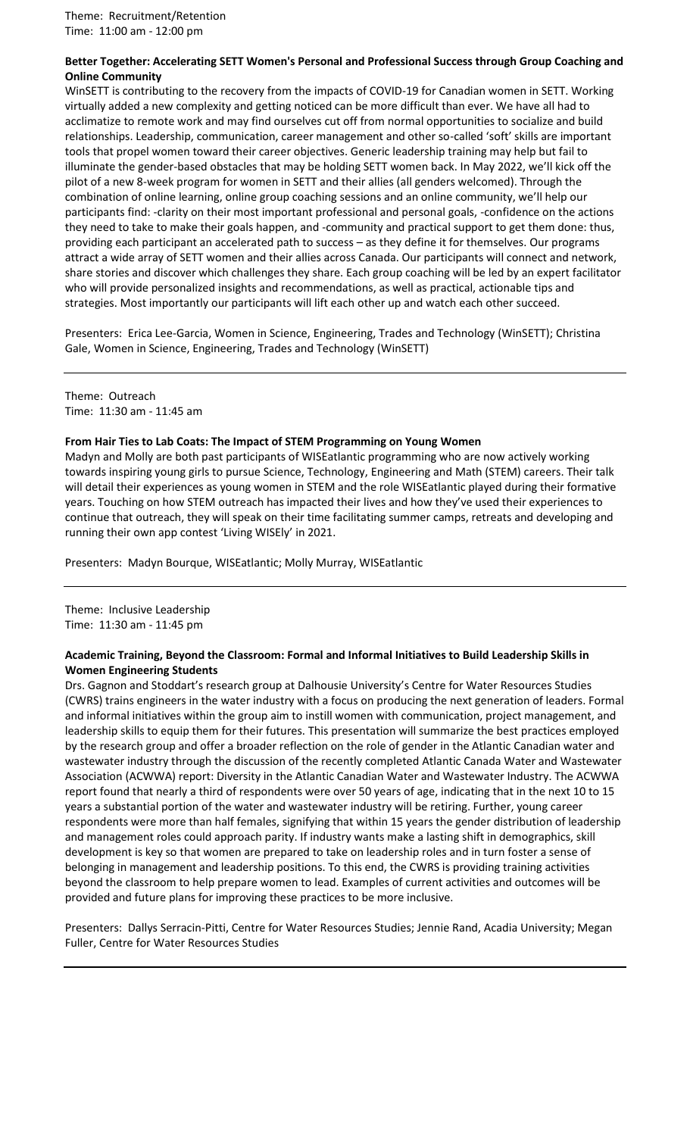### **Better Together: Accelerating SETT Women's Personal and Professional Success through Group Coaching and Online Community**

WinSETT is contributing to the recovery from the impacts of COVID-19 for Canadian women in SETT. Working virtually added a new complexity and getting noticed can be more difficult than ever. We have all had to acclimatize to remote work and may find ourselves cut off from normal opportunities to socialize and build relationships. Leadership, communication, career management and other so-called 'soft' skills are important tools that propel women toward their career objectives. Generic leadership training may help but fail to illuminate the gender-based obstacles that may be holding SETT women back. In May 2022, we'll kick off the pilot of a new 8-week program for women in SETT and their allies (all genders welcomed). Through the combination of online learning, online group coaching sessions and an online community, we'll help our participants find: -clarity on their most important professional and personal goals, -confidence on the actions they need to take to make their goals happen, and -community and practical support to get them done: thus, providing each participant an accelerated path to success – as they define it for themselves. Our programs attract a wide array of SETT women and their allies across Canada. Our participants will connect and network, share stories and discover which challenges they share. Each group coaching will be led by an expert facilitator who will provide personalized insights and recommendations, as well as practical, actionable tips and strategies. Most importantly our participants will lift each other up and watch each other succeed.

Presenters: Erica Lee-Garcia, Women in Science, Engineering, Trades and Technology (WinSETT); Christina Gale, Women in Science, Engineering, Trades and Technology (WinSETT)

Theme: Outreach Time: 11:30 am - 11:45 am

### **From Hair Ties to Lab Coats: The Impact of STEM Programming on Young Women**

Madyn and Molly are both past participants of WISEatlantic programming who are now actively working towards inspiring young girls to pursue Science, Technology, Engineering and Math (STEM) careers. Their talk will detail their experiences as young women in STEM and the role WISEatlantic played during their formative years. Touching on how STEM outreach has impacted their lives and how they've used their experiences to continue that outreach, they will speak on their time facilitating summer camps, retreats and developing and running their own app contest 'Living WISEly' in 2021.

Presenters: Madyn Bourque, WISEatlantic; Molly Murray, WISEatlantic

Theme: Inclusive Leadership Time: 11:30 am - 11:45 pm

### **Academic Training, Beyond the Classroom: Formal and Informal Initiatives to Build Leadership Skills in Women Engineering Students**

Drs. Gagnon and Stoddart's research group at Dalhousie University's Centre for Water Resources Studies (CWRS) trains engineers in the water industry with a focus on producing the next generation of leaders. Formal and informal initiatives within the group aim to instill women with communication, project management, and leadership skills to equip them for their futures. This presentation will summarize the best practices employed by the research group and offer a broader reflection on the role of gender in the Atlantic Canadian water and wastewater industry through the discussion of the recently completed Atlantic Canada Water and Wastewater Association (ACWWA) report: Diversity in the Atlantic Canadian Water and Wastewater Industry. The ACWWA report found that nearly a third of respondents were over 50 years of age, indicating that in the next 10 to 15 years a substantial portion of the water and wastewater industry will be retiring. Further, young career respondents were more than half females, signifying that within 15 years the gender distribution of leadership and management roles could approach parity. If industry wants make a lasting shift in demographics, skill development is key so that women are prepared to take on leadership roles and in turn foster a sense of belonging in management and leadership positions. To this end, the CWRS is providing training activities beyond the classroom to help prepare women to lead. Examples of current activities and outcomes will be provided and future plans for improving these practices to be more inclusive.

Presenters: Dallys Serracin-Pitti, Centre for Water Resources Studies; Jennie Rand, Acadia University; Megan Fuller, Centre for Water Resources Studies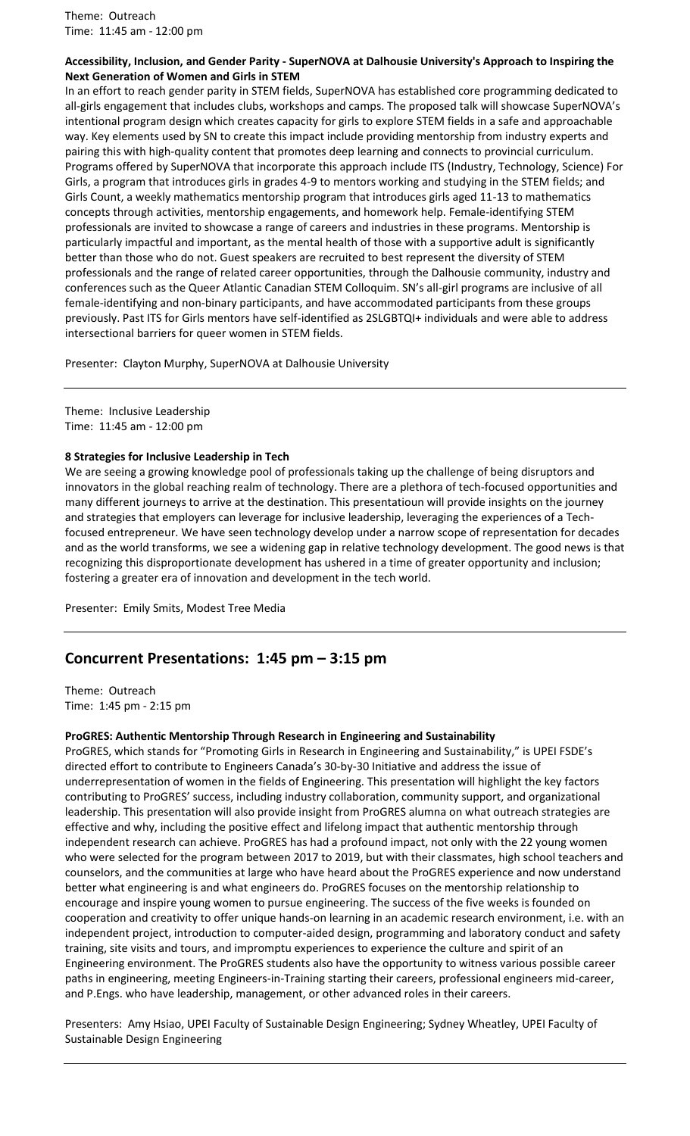Theme: Outreach Time: 11:45 am - 12:00 pm

### **Accessibility, Inclusion, and Gender Parity - SuperNOVA at Dalhousie University's Approach to Inspiring the Next Generation of Women and Girls in STEM**

In an effort to reach gender parity in STEM fields, SuperNOVA has established core programming dedicated to all-girls engagement that includes clubs, workshops and camps. The proposed talk will showcase SuperNOVA's intentional program design which creates capacity for girls to explore STEM fields in a safe and approachable way. Key elements used by SN to create this impact include providing mentorship from industry experts and pairing this with high-quality content that promotes deep learning and connects to provincial curriculum. Programs offered by SuperNOVA that incorporate this approach include ITS (Industry, Technology, Science) For Girls, a program that introduces girls in grades 4-9 to mentors working and studying in the STEM fields; and Girls Count, a weekly mathematics mentorship program that introduces girls aged 11-13 to mathematics concepts through activities, mentorship engagements, and homework help. Female-identifying STEM professionals are invited to showcase a range of careers and industries in these programs. Mentorship is particularly impactful and important, as the mental health of those with a supportive adult is significantly better than those who do not. Guest speakers are recruited to best represent the diversity of STEM professionals and the range of related career opportunities, through the Dalhousie community, industry and conferences such as the Queer Atlantic Canadian STEM Colloquim. SN's all-girl programs are inclusive of all female-identifying and non-binary participants, and have accommodated participants from these groups previously. Past ITS for Girls mentors have self-identified as 2SLGBTQI+ individuals and were able to address intersectional barriers for queer women in STEM fields.

Presenter: Clayton Murphy, SuperNOVA at Dalhousie University

Theme: Inclusive Leadership Time: 11:45 am - 12:00 pm

### **8 Strategies for Inclusive Leadership in Tech**

We are seeing a growing knowledge pool of professionals taking up the challenge of being disruptors and innovators in the global reaching realm of technology. There are a plethora of tech-focused opportunities and many different journeys to arrive at the destination. This presentatioun will provide insights on the journey and strategies that employers can leverage for inclusive leadership, leveraging the experiences of a Techfocused entrepreneur. We have seen technology develop under a narrow scope of representation for decades and as the world transforms, we see a widening gap in relative technology development. The good news is that recognizing this disproportionate development has ushered in a time of greater opportunity and inclusion; fostering a greater era of innovation and development in the tech world.

Presenter: Emily Smits, Modest Tree Media

# **Concurrent Presentations: 1:45 pm – 3:15 pm**

Theme: Outreach Time: 1:45 pm - 2:15 pm

### **ProGRES: Authentic Mentorship Through Research in Engineering and Sustainability**

ProGRES, which stands for "Promoting Girls in Research in Engineering and Sustainability," is UPEI FSDE's directed effort to contribute to Engineers Canada's 30-by-30 Initiative and address the issue of underrepresentation of women in the fields of Engineering. This presentation will highlight the key factors contributing to ProGRES' success, including industry collaboration, community support, and organizational leadership. This presentation will also provide insight from ProGRES alumna on what outreach strategies are effective and why, including the positive effect and lifelong impact that authentic mentorship through independent research can achieve. ProGRES has had a profound impact, not only with the 22 young women who were selected for the program between 2017 to 2019, but with their classmates, high school teachers and counselors, and the communities at large who have heard about the ProGRES experience and now understand better what engineering is and what engineers do. ProGRES focuses on the mentorship relationship to encourage and inspire young women to pursue engineering. The success of the five weeks is founded on cooperation and creativity to offer unique hands-on learning in an academic research environment, i.e. with an independent project, introduction to computer-aided design, programming and laboratory conduct and safety training, site visits and tours, and impromptu experiences to experience the culture and spirit of an Engineering environment. The ProGRES students also have the opportunity to witness various possible career paths in engineering, meeting Engineers-in-Training starting their careers, professional engineers mid-career, and P.Engs. who have leadership, management, or other advanced roles in their careers.

Presenters: Amy Hsiao, UPEI Faculty of Sustainable Design Engineering; Sydney Wheatley, UPEI Faculty of Sustainable Design Engineering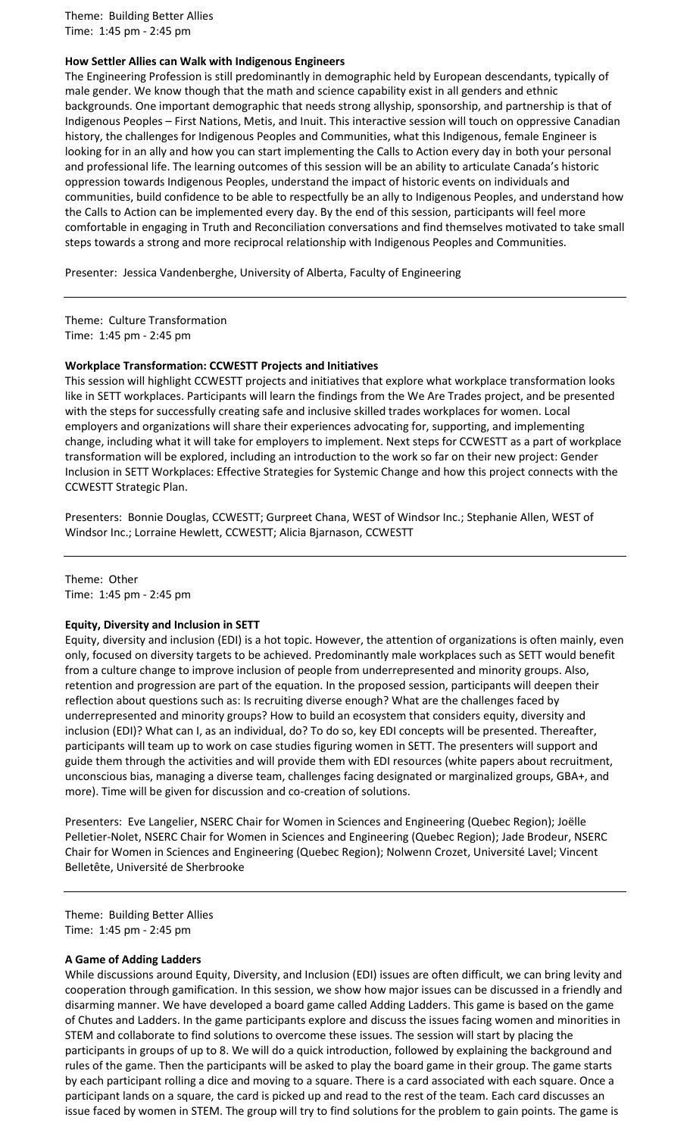Theme: Building Better Allies Time: 1:45 pm - 2:45 pm

### **How Settler Allies can Walk with Indigenous Engineers**

The Engineering Profession is still predominantly in demographic held by European descendants, typically of male gender. We know though that the math and science capability exist in all genders and ethnic backgrounds. One important demographic that needs strong allyship, sponsorship, and partnership is that of Indigenous Peoples – First Nations, Metis, and Inuit. This interactive session will touch on oppressive Canadian history, the challenges for Indigenous Peoples and Communities, what this Indigenous, female Engineer is looking for in an ally and how you can start implementing the Calls to Action every day in both your personal and professional life. The learning outcomes of this session will be an ability to articulate Canada's historic oppression towards Indigenous Peoples, understand the impact of historic events on individuals and communities, build confidence to be able to respectfully be an ally to Indigenous Peoples, and understand how the Calls to Action can be implemented every day. By the end of this session, participants will feel more comfortable in engaging in Truth and Reconciliation conversations and find themselves motivated to take small steps towards a strong and more reciprocal relationship with Indigenous Peoples and Communities.

Presenter: Jessica Vandenberghe, University of Alberta, Faculty of Engineering

Theme: Culture Transformation Time: 1:45 pm - 2:45 pm

### **Workplace Transformation: CCWESTT Projects and Initiatives**

This session will highlight CCWESTT projects and initiatives that explore what workplace transformation looks like in SETT workplaces. Participants will learn the findings from the We Are Trades project, and be presented with the steps for successfully creating safe and inclusive skilled trades workplaces for women. Local employers and organizations will share their experiences advocating for, supporting, and implementing change, including what it will take for employers to implement. Next steps for CCWESTT as a part of workplace transformation will be explored, including an introduction to the work so far on their new project: Gender Inclusion in SETT Workplaces: Effective Strategies for Systemic Change and how this project connects with the CCWESTT Strategic Plan.

Presenters: Bonnie Douglas, CCWESTT; Gurpreet Chana, WEST of Windsor Inc.; Stephanie Allen, WEST of Windsor Inc.; Lorraine Hewlett, CCWESTT; Alicia Bjarnason, CCWESTT

Theme: Other Time: 1:45 pm - 2:45 pm

#### **Equity, Diversity and Inclusion in SETT**

Equity, diversity and inclusion (EDI) is a hot topic. However, the attention of organizations is often mainly, even only, focused on diversity targets to be achieved. Predominantly male workplaces such as SETT would benefit from a culture change to improve inclusion of people from underrepresented and minority groups. Also, retention and progression are part of the equation. In the proposed session, participants will deepen their reflection about questions such as: Is recruiting diverse enough? What are the challenges faced by underrepresented and minority groups? How to build an ecosystem that considers equity, diversity and inclusion (EDI)? What can I, as an individual, do? To do so, key EDI concepts will be presented. Thereafter, participants will team up to work on case studies figuring women in SETT. The presenters will support and guide them through the activities and will provide them with EDI resources (white papers about recruitment, unconscious bias, managing a diverse team, challenges facing designated or marginalized groups, GBA+, and more). Time will be given for discussion and co-creation of solutions.

Presenters: Eve Langelier, NSERC Chair for Women in Sciences and Engineering (Quebec Region); Joëlle Pelletier-Nolet, NSERC Chair for Women in Sciences and Engineering (Quebec Region); Jade Brodeur, NSERC Chair for Women in Sciences and Engineering (Quebec Region); Nolwenn Crozet, Université Lavel; Vincent Belletête, Université de Sherbrooke

Theme: Building Better Allies Time: 1:45 pm - 2:45 pm

#### **A Game of Adding Ladders**

While discussions around Equity, Diversity, and Inclusion (EDI) issues are often difficult, we can bring levity and cooperation through gamification. In this session, we show how major issues can be discussed in a friendly and disarming manner. We have developed a board game called Adding Ladders. This game is based on the game of Chutes and Ladders. In the game participants explore and discuss the issues facing women and minorities in STEM and collaborate to find solutions to overcome these issues. The session will start by placing the participants in groups of up to 8. We will do a quick introduction, followed by explaining the background and rules of the game. Then the participants will be asked to play the board game in their group. The game starts by each participant rolling a dice and moving to a square. There is a card associated with each square. Once a participant lands on a square, the card is picked up and read to the rest of the team. Each card discusses an issue faced by women in STEM. The group will try to find solutions for the problem to gain points. The game is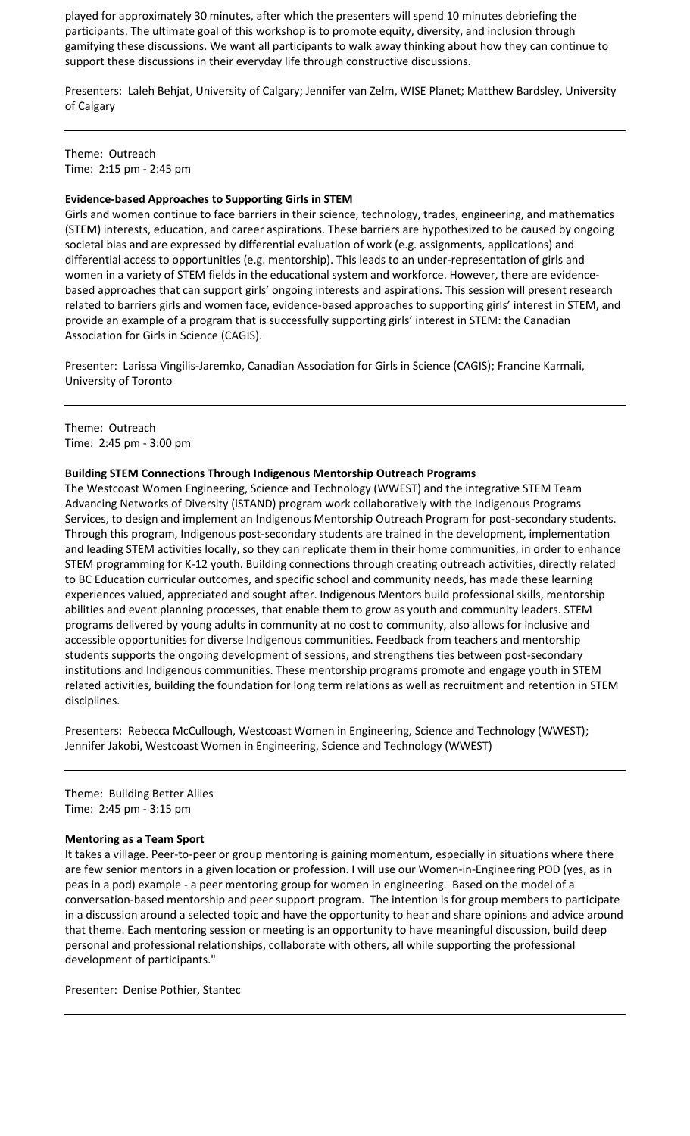played for approximately 30 minutes, after which the presenters will spend 10 minutes debriefing the participants. The ultimate goal of this workshop is to promote equity, diversity, and inclusion through gamifying these discussions. We want all participants to walk away thinking about how they can continue to support these discussions in their everyday life through constructive discussions.

Presenters: Laleh Behjat, University of Calgary; Jennifer van Zelm, WISE Planet; Matthew Bardsley, University of Calgary

Theme: Outreach Time: 2:15 pm - 2:45 pm

### **Evidence-based Approaches to Supporting Girls in STEM**

Girls and women continue to face barriers in their science, technology, trades, engineering, and mathematics (STEM) interests, education, and career aspirations. These barriers are hypothesized to be caused by ongoing societal bias and are expressed by differential evaluation of work (e.g. assignments, applications) and differential access to opportunities (e.g. mentorship). This leads to an under-representation of girls and women in a variety of STEM fields in the educational system and workforce. However, there are evidencebased approaches that can support girls' ongoing interests and aspirations. This session will present research related to barriers girls and women face, evidence-based approaches to supporting girls' interest in STEM, and provide an example of a program that is successfully supporting girls' interest in STEM: the Canadian Association for Girls in Science (CAGIS).

Presenter: Larissa Vingilis-Jaremko, Canadian Association for Girls in Science (CAGIS); Francine Karmali, University of Toronto

Theme: Outreach Time: 2:45 pm - 3:00 pm

#### **Building STEM Connections Through Indigenous Mentorship Outreach Programs**

The Westcoast Women Engineering, Science and Technology (WWEST) and the integrative STEM Team Advancing Networks of Diversity (iSTAND) program work collaboratively with the Indigenous Programs Services, to design and implement an Indigenous Mentorship Outreach Program for post-secondary students. Through this program, Indigenous post-secondary students are trained in the development, implementation and leading STEM activities locally, so they can replicate them in their home communities, in order to enhance STEM programming for K-12 youth. Building connections through creating outreach activities, directly related to BC Education curricular outcomes, and specific school and community needs, has made these learning experiences valued, appreciated and sought after. Indigenous Mentors build professional skills, mentorship abilities and event planning processes, that enable them to grow as youth and community leaders. STEM programs delivered by young adults in community at no cost to community, also allows for inclusive and accessible opportunities for diverse Indigenous communities. Feedback from teachers and mentorship students supports the ongoing development of sessions, and strengthens ties between post-secondary institutions and Indigenous communities. These mentorship programs promote and engage youth in STEM related activities, building the foundation for long term relations as well as recruitment and retention in STEM disciplines.

Presenters: Rebecca McCullough, Westcoast Women in Engineering, Science and Technology (WWEST); Jennifer Jakobi, Westcoast Women in Engineering, Science and Technology (WWEST)

Theme: Building Better Allies Time: 2:45 pm - 3:15 pm

#### **Mentoring as a Team Sport**

It takes a village. Peer-to-peer or group mentoring is gaining momentum, especially in situations where there are few senior mentors in a given location or profession. I will use our Women-in-Engineering POD (yes, as in peas in a pod) example - a peer mentoring group for women in engineering. Based on the model of a conversation-based mentorship and peer support program. The intention is for group members to participate in a discussion around a selected topic and have the opportunity to hear and share opinions and advice around that theme. Each mentoring session or meeting is an opportunity to have meaningful discussion, build deep personal and professional relationships, collaborate with others, all while supporting the professional development of participants."

Presenter: Denise Pothier, Stantec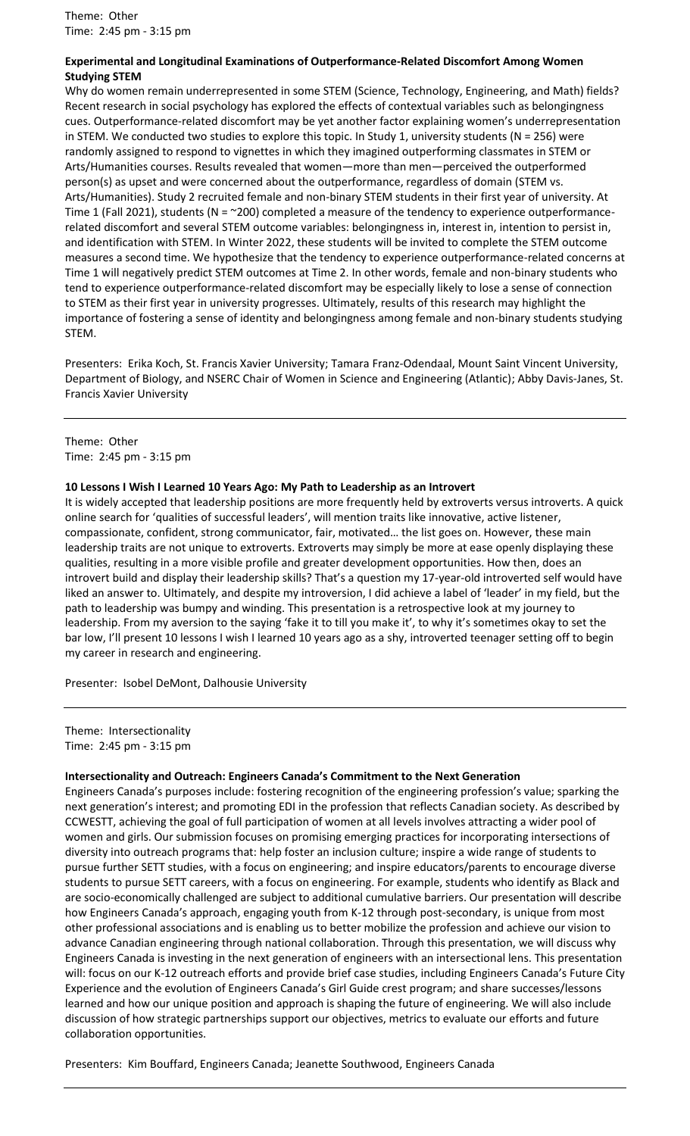Theme: Other Time: 2:45 pm - 3:15 pm

### **Experimental and Longitudinal Examinations of Outperformance-Related Discomfort Among Women Studying STEM**

Why do women remain underrepresented in some STEM (Science, Technology, Engineering, and Math) fields? Recent research in social psychology has explored the effects of contextual variables such as belongingness cues. Outperformance-related discomfort may be yet another factor explaining women's underrepresentation in STEM. We conducted two studies to explore this topic. In Study 1, university students (N = 256) were randomly assigned to respond to vignettes in which they imagined outperforming classmates in STEM or Arts/Humanities courses. Results revealed that women—more than men—perceived the outperformed person(s) as upset and were concerned about the outperformance, regardless of domain (STEM vs. Arts/Humanities). Study 2 recruited female and non-binary STEM students in their first year of university. At Time 1 (Fall 2021), students (N = ~200) completed a measure of the tendency to experience outperformancerelated discomfort and several STEM outcome variables: belongingness in, interest in, intention to persist in, and identification with STEM. In Winter 2022, these students will be invited to complete the STEM outcome measures a second time. We hypothesize that the tendency to experience outperformance-related concerns at Time 1 will negatively predict STEM outcomes at Time 2. In other words, female and non-binary students who tend to experience outperformance-related discomfort may be especially likely to lose a sense of connection to STEM as their first year in university progresses. Ultimately, results of this research may highlight the importance of fostering a sense of identity and belongingness among female and non-binary students studying STEM.

Presenters: Erika Koch, St. Francis Xavier University; Tamara Franz-Odendaal, Mount Saint Vincent University, Department of Biology, and NSERC Chair of Women in Science and Engineering (Atlantic); Abby Davis-Janes, St. Francis Xavier University

Theme: Other Time: 2:45 pm - 3:15 pm

#### **10 Lessons I Wish I Learned 10 Years Ago: My Path to Leadership as an Introvert**

It is widely accepted that leadership positions are more frequently held by extroverts versus introverts. A quick online search for 'qualities of successful leaders', will mention traits like innovative, active listener, compassionate, confident, strong communicator, fair, motivated… the list goes on. However, these main leadership traits are not unique to extroverts. Extroverts may simply be more at ease openly displaying these qualities, resulting in a more visible profile and greater development opportunities. How then, does an introvert build and display their leadership skills? That's a question my 17-year-old introverted self would have liked an answer to. Ultimately, and despite my introversion, I did achieve a label of 'leader' in my field, but the path to leadership was bumpy and winding. This presentation is a retrospective look at my journey to leadership. From my aversion to the saying 'fake it to till you make it', to why it's sometimes okay to set the bar low, I'll present 10 lessons I wish I learned 10 years ago as a shy, introverted teenager setting off to begin my career in research and engineering.

Presenter: Isobel DeMont, Dalhousie University

Theme: Intersectionality Time: 2:45 pm - 3:15 pm

#### **Intersectionality and Outreach: Engineers Canada's Commitment to the Next Generation**

Engineers Canada's purposes include: fostering recognition of the engineering profession's value; sparking the next generation's interest; and promoting EDI in the profession that reflects Canadian society. As described by CCWESTT, achieving the goal of full participation of women at all levels involves attracting a wider pool of women and girls. Our submission focuses on promising emerging practices for incorporating intersections of diversity into outreach programs that: help foster an inclusion culture; inspire a wide range of students to pursue further SETT studies, with a focus on engineering; and inspire educators/parents to encourage diverse students to pursue SETT careers, with a focus on engineering. For example, students who identify as Black and are socio-economically challenged are subject to additional cumulative barriers. Our presentation will describe how Engineers Canada's approach, engaging youth from K-12 through post-secondary, is unique from most other professional associations and is enabling us to better mobilize the profession and achieve our vision to advance Canadian engineering through national collaboration. Through this presentation, we will discuss why Engineers Canada is investing in the next generation of engineers with an intersectional lens. This presentation will: focus on our K-12 outreach efforts and provide brief case studies, including Engineers Canada's Future City Experience and the evolution of Engineers Canada's Girl Guide crest program; and share successes/lessons learned and how our unique position and approach is shaping the future of engineering. We will also include discussion of how strategic partnerships support our objectives, metrics to evaluate our efforts and future collaboration opportunities.

Presenters: Kim Bouffard, Engineers Canada; Jeanette Southwood, Engineers Canada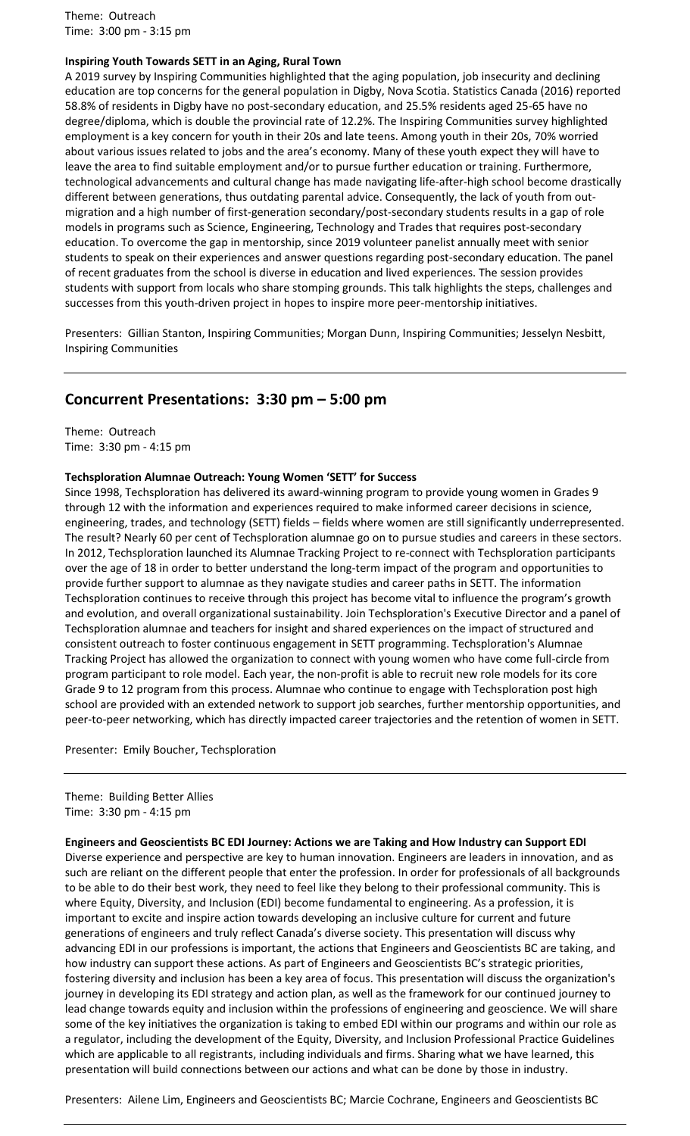Theme: Outreach Time: 3:00 pm - 3:15 pm

### **Inspiring Youth Towards SETT in an Aging, Rural Town**

A 2019 survey by Inspiring Communities highlighted that the aging population, job insecurity and declining education are top concerns for the general population in Digby, Nova Scotia. Statistics Canada (2016) reported 58.8% of residents in Digby have no post-secondary education, and 25.5% residents aged 25-65 have no degree/diploma, which is double the provincial rate of 12.2%. The Inspiring Communities survey highlighted employment is a key concern for youth in their 20s and late teens. Among youth in their 20s, 70% worried about various issues related to jobs and the area's economy. Many of these youth expect they will have to leave the area to find suitable employment and/or to pursue further education or training. Furthermore, technological advancements and cultural change has made navigating life-after-high school become drastically different between generations, thus outdating parental advice. Consequently, the lack of youth from outmigration and a high number of first-generation secondary/post-secondary students results in a gap of role models in programs such as Science, Engineering, Technology and Trades that requires post-secondary education. To overcome the gap in mentorship, since 2019 volunteer panelist annually meet with senior students to speak on their experiences and answer questions regarding post-secondary education. The panel of recent graduates from the school is diverse in education and lived experiences. The session provides students with support from locals who share stomping grounds. This talk highlights the steps, challenges and successes from this youth-driven project in hopes to inspire more peer-mentorship initiatives.

Presenters: Gillian Stanton, Inspiring Communities; Morgan Dunn, Inspiring Communities; Jesselyn Nesbitt, Inspiring Communities

### **Concurrent Presentations: 3:30 pm – 5:00 pm**

Theme: Outreach Time: 3:30 pm - 4:15 pm

#### **Techsploration Alumnae Outreach: Young Women 'SETT' for Success**

Since 1998, Techsploration has delivered its award-winning program to provide young women in Grades 9 through 12 with the information and experiences required to make informed career decisions in science, engineering, trades, and technology (SETT) fields – fields where women are still significantly underrepresented. The result? Nearly 60 per cent of Techsploration alumnae go on to pursue studies and careers in these sectors. In 2012, Techsploration launched its Alumnae Tracking Project to re-connect with Techsploration participants over the age of 18 in order to better understand the long-term impact of the program and opportunities to provide further support to alumnae as they navigate studies and career paths in SETT. The information Techsploration continues to receive through this project has become vital to influence the program's growth and evolution, and overall organizational sustainability. Join Techsploration's Executive Director and a panel of Techsploration alumnae and teachers for insight and shared experiences on the impact of structured and consistent outreach to foster continuous engagement in SETT programming. Techsploration's Alumnae Tracking Project has allowed the organization to connect with young women who have come full-circle from program participant to role model. Each year, the non-profit is able to recruit new role models for its core Grade 9 to 12 program from this process. Alumnae who continue to engage with Techsploration post high school are provided with an extended network to support job searches, further mentorship opportunities, and peer-to-peer networking, which has directly impacted career trajectories and the retention of women in SETT.

Presenter: Emily Boucher, Techsploration

Theme: Building Better Allies Time: 3:30 pm - 4:15 pm

**Engineers and Geoscientists BC EDI Journey: Actions we are Taking and How Industry can Support EDI**

Diverse experience and perspective are key to human innovation. Engineers are leaders in innovation, and as such are reliant on the different people that enter the profession. In order for professionals of all backgrounds to be able to do their best work, they need to feel like they belong to their professional community. This is where Equity, Diversity, and Inclusion (EDI) become fundamental to engineering. As a profession, it is important to excite and inspire action towards developing an inclusive culture for current and future generations of engineers and truly reflect Canada's diverse society. This presentation will discuss why advancing EDI in our professions is important, the actions that Engineers and Geoscientists BC are taking, and how industry can support these actions. As part of Engineers and Geoscientists BC's strategic priorities, fostering diversity and inclusion has been a key area of focus. This presentation will discuss the organization's journey in developing its EDI strategy and action plan, as well as the framework for our continued journey to lead change towards equity and inclusion within the professions of engineering and geoscience. We will share some of the key initiatives the organization is taking to embed EDI within our programs and within our role as a regulator, including the development of the Equity, Diversity, and Inclusion Professional Practice Guidelines which are applicable to all registrants, including individuals and firms. Sharing what we have learned, this presentation will build connections between our actions and what can be done by those in industry.

Presenters: Ailene Lim, Engineers and Geoscientists BC; Marcie Cochrane, Engineers and Geoscientists BC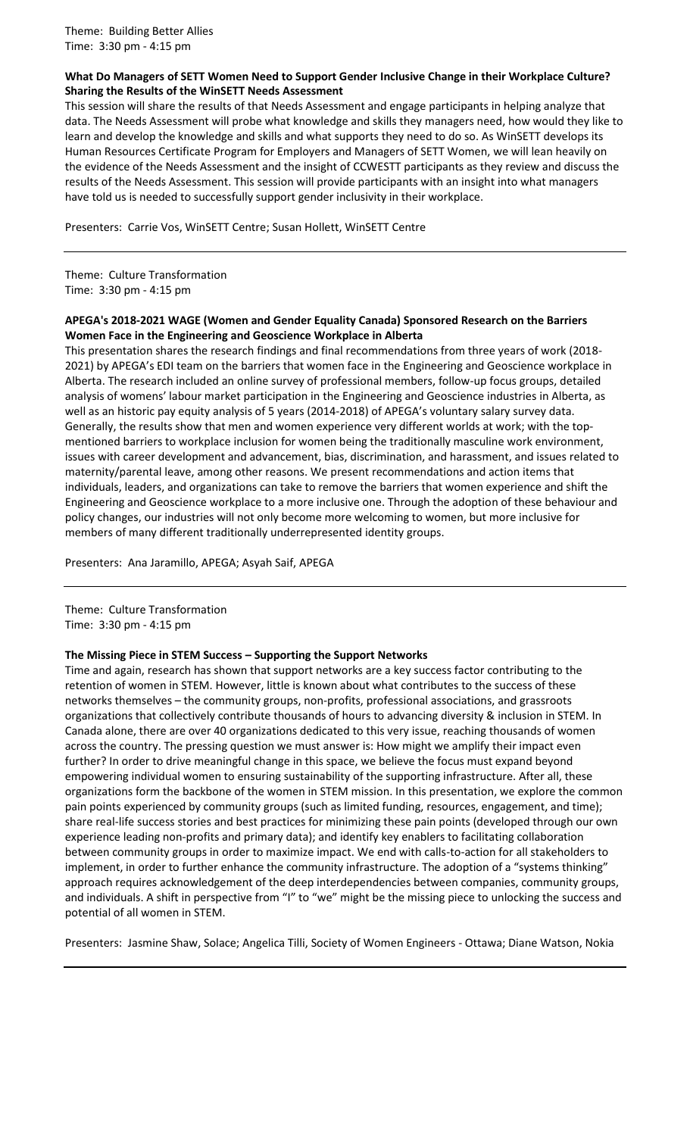### **What Do Managers of SETT Women Need to Support Gender Inclusive Change in their Workplace Culture? Sharing the Results of the WinSETT Needs Assessment**

This session will share the results of that Needs Assessment and engage participants in helping analyze that data. The Needs Assessment will probe what knowledge and skills they managers need, how would they like to learn and develop the knowledge and skills and what supports they need to do so. As WinSETT develops its Human Resources Certificate Program for Employers and Managers of SETT Women, we will lean heavily on the evidence of the Needs Assessment and the insight of CCWESTT participants as they review and discuss the results of the Needs Assessment. This session will provide participants with an insight into what managers have told us is needed to successfully support gender inclusivity in their workplace.

Presenters: Carrie Vos, WinSETT Centre; Susan Hollett, WinSETT Centre

Theme: Culture Transformation Time: 3:30 pm - 4:15 pm

### **APEGA's 2018-2021 WAGE (Women and Gender Equality Canada) Sponsored Research on the Barriers Women Face in the Engineering and Geoscience Workplace in Alberta**

This presentation shares the research findings and final recommendations from three years of work (2018- 2021) by APEGA's EDI team on the barriers that women face in the Engineering and Geoscience workplace in Alberta. The research included an online survey of professional members, follow-up focus groups, detailed analysis of womens' labour market participation in the Engineering and Geoscience industries in Alberta, as well as an historic pay equity analysis of 5 years (2014-2018) of APEGA's voluntary salary survey data. Generally, the results show that men and women experience very different worlds at work; with the topmentioned barriers to workplace inclusion for women being the traditionally masculine work environment, issues with career development and advancement, bias, discrimination, and harassment, and issues related to maternity/parental leave, among other reasons. We present recommendations and action items that individuals, leaders, and organizations can take to remove the barriers that women experience and shift the Engineering and Geoscience workplace to a more inclusive one. Through the adoption of these behaviour and policy changes, our industries will not only become more welcoming to women, but more inclusive for members of many different traditionally underrepresented identity groups.

Presenters: Ana Jaramillo, APEGA; Asyah Saif, APEGA

Theme: Culture Transformation Time: 3:30 pm - 4:15 pm

### **The Missing Piece in STEM Success – Supporting the Support Networks**

Time and again, research has shown that support networks are a key success factor contributing to the retention of women in STEM. However, little is known about what contributes to the success of these networks themselves – the community groups, non-profits, professional associations, and grassroots organizations that collectively contribute thousands of hours to advancing diversity & inclusion in STEM. In Canada alone, there are over 40 organizations dedicated to this very issue, reaching thousands of women across the country. The pressing question we must answer is: How might we amplify their impact even further? In order to drive meaningful change in this space, we believe the focus must expand beyond empowering individual women to ensuring sustainability of the supporting infrastructure. After all, these organizations form the backbone of the women in STEM mission. In this presentation, we explore the common pain points experienced by community groups (such as limited funding, resources, engagement, and time); share real-life success stories and best practices for minimizing these pain points (developed through our own experience leading non-profits and primary data); and identify key enablers to facilitating collaboration between community groups in order to maximize impact. We end with calls-to-action for all stakeholders to implement, in order to further enhance the community infrastructure. The adoption of a "systems thinking" approach requires acknowledgement of the deep interdependencies between companies, community groups, and individuals. A shift in perspective from "I" to "we" might be the missing piece to unlocking the success and potential of all women in STEM.

Presenters: Jasmine Shaw, Solace; Angelica Tilli, Society of Women Engineers - Ottawa; Diane Watson, Nokia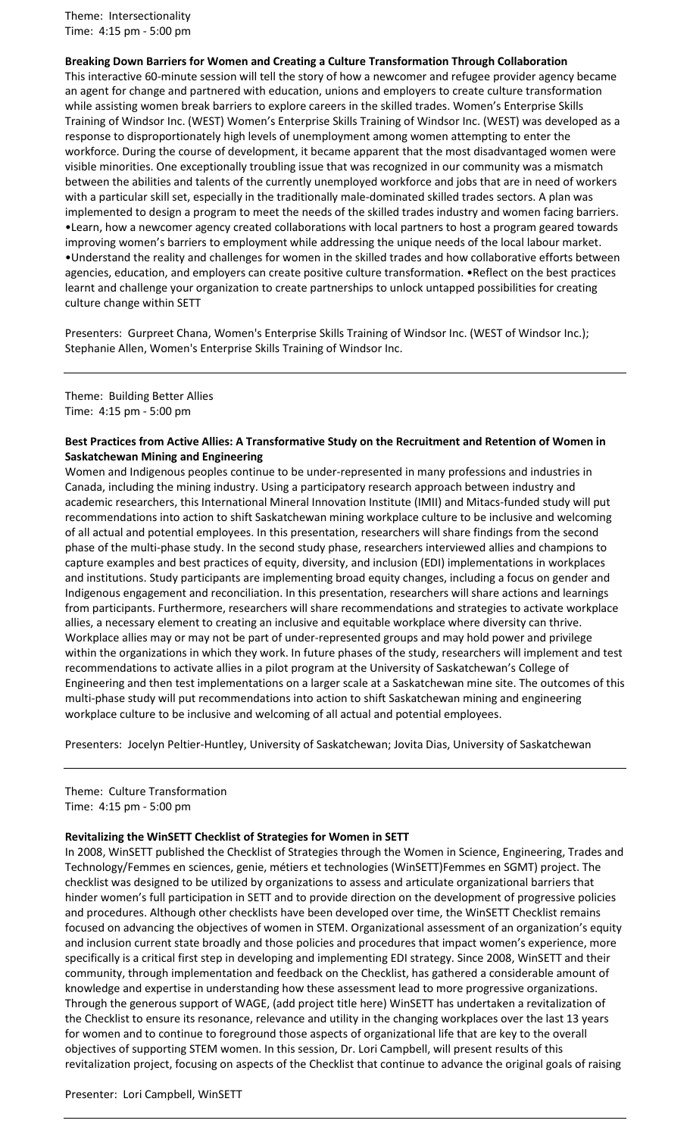Theme: Intersectionality Time: 4:15 pm - 5:00 pm

**Breaking Down Barriers for Women and Creating a Culture Transformation Through Collaboration** This interactive 60-minute session will tell the story of how a newcomer and refugee provider agency became an agent for change and partnered with education, unions and employers to create culture transformation while assisting women break barriers to explore careers in the skilled trades. Women's Enterprise Skills Training of Windsor Inc. (WEST) Women's Enterprise Skills Training of Windsor Inc. (WEST) was developed as a response to disproportionately high levels of unemployment among women attempting to enter the workforce. During the course of development, it became apparent that the most disadvantaged women were visible minorities. One exceptionally troubling issue that was recognized in our community was a mismatch between the abilities and talents of the currently unemployed workforce and jobs that are in need of workers with a particular skill set, especially in the traditionally male-dominated skilled trades sectors. A plan was implemented to design a program to meet the needs of the skilled trades industry and women facing barriers. •Learn, how a newcomer agency created collaborations with local partners to host a program geared towards improving women's barriers to employment while addressing the unique needs of the local labour market. •Understand the reality and challenges for women in the skilled trades and how collaborative efforts between agencies, education, and employers can create positive culture transformation. •Reflect on the best practices learnt and challenge your organization to create partnerships to unlock untapped possibilities for creating culture change within SETT

Presenters: Gurpreet Chana, Women's Enterprise Skills Training of Windsor Inc. (WEST of Windsor Inc.); Stephanie Allen, Women's Enterprise Skills Training of Windsor Inc.

Theme: Building Better Allies Time: 4:15 pm - 5:00 pm

### **Best Practices from Active Allies: A Transformative Study on the Recruitment and Retention of Women in Saskatchewan Mining and Engineering**

Women and Indigenous peoples continue to be under-represented in many professions and industries in Canada, including the mining industry. Using a participatory research approach between industry and academic researchers, this International Mineral Innovation Institute (IMII) and Mitacs-funded study will put recommendations into action to shift Saskatchewan mining workplace culture to be inclusive and welcoming of all actual and potential employees. In this presentation, researchers will share findings from the second phase of the multi-phase study. In the second study phase, researchers interviewed allies and champions to capture examples and best practices of equity, diversity, and inclusion (EDI) implementations in workplaces and institutions. Study participants are implementing broad equity changes, including a focus on gender and Indigenous engagement and reconciliation. In this presentation, researchers will share actions and learnings from participants. Furthermore, researchers will share recommendations and strategies to activate workplace allies, a necessary element to creating an inclusive and equitable workplace where diversity can thrive. Workplace allies may or may not be part of under-represented groups and may hold power and privilege within the organizations in which they work. In future phases of the study, researchers will implement and test recommendations to activate allies in a pilot program at the University of Saskatchewan's College of Engineering and then test implementations on a larger scale at a Saskatchewan mine site. The outcomes of this multi-phase study will put recommendations into action to shift Saskatchewan mining and engineering workplace culture to be inclusive and welcoming of all actual and potential employees.

Presenters: Jocelyn Peltier-Huntley, University of Saskatchewan; Jovita Dias, University of Saskatchewan

Theme: Culture Transformation Time: 4:15 pm - 5:00 pm

### **Revitalizing the WinSETT Checklist of Strategies for Women in SETT**

In 2008, WinSETT published the Checklist of Strategies through the Women in Science, Engineering, Trades and Technology/Femmes en sciences, genie, métiers et technologies (WinSETT)Femmes en SGMT) project. The checklist was designed to be utilized by organizations to assess and articulate organizational barriers that hinder women's full participation in SETT and to provide direction on the development of progressive policies and procedures. Although other checklists have been developed over time, the WinSETT Checklist remains focused on advancing the objectives of women in STEM. Organizational assessment of an organization's equity and inclusion current state broadly and those policies and procedures that impact women's experience, more specifically is a critical first step in developing and implementing EDI strategy. Since 2008, WinSETT and their community, through implementation and feedback on the Checklist, has gathered a considerable amount of knowledge and expertise in understanding how these assessment lead to more progressive organizations. Through the generous support of WAGE, (add project title here) WinSETT has undertaken a revitalization of the Checklist to ensure its resonance, relevance and utility in the changing workplaces over the last 13 years for women and to continue to foreground those aspects of organizational life that are key to the overall objectives of supporting STEM women. In this session, Dr. Lori Campbell, will present results of this revitalization project, focusing on aspects of the Checklist that continue to advance the original goals of raising

#### Presenter: Lori Campbell, WinSETT